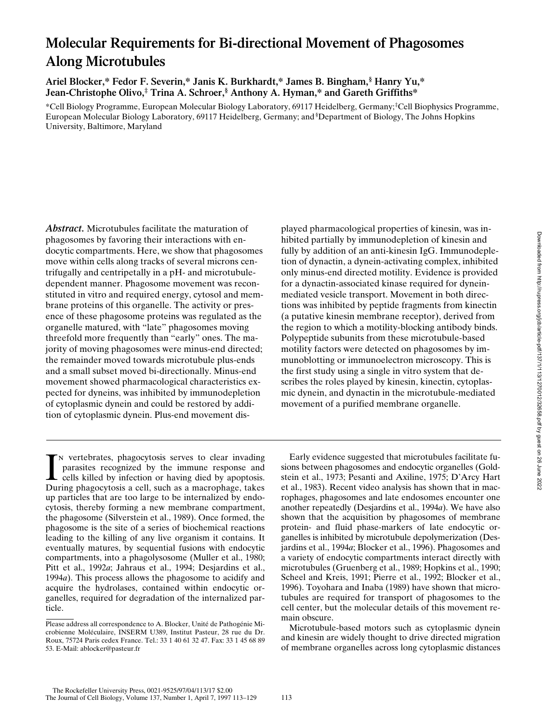# **Molecular Requirements for Bi-directional Movement of Phagosomes Along Microtubules**

**Ariel Blocker,\* Fedor F. Severin,\* Janis K. Burkhardt,\* James B. Bingham,§ Hanry Yu,\* Jean-Christophe Olivo,‡ Trina A. Schroer,§ Anthony A. Hyman,\* and Gareth Griffiths\***

\*Cell Biology Programme, European Molecular Biology Laboratory, 69117 Heidelberg, Germany; ‡ Cell Biophysics Programme, European Molecular Biology Laboratory, 69117 Heidelberg, Germany; and § Department of Biology, The Johns Hopkins University, Baltimore, Maryland

*Abstract.* Microtubules facilitate the maturation of phagosomes by favoring their interactions with endocytic compartments. Here, we show that phagosomes move within cells along tracks of several microns centrifugally and centripetally in a pH- and microtubuledependent manner. Phagosome movement was reconstituted in vitro and required energy, cytosol and membrane proteins of this organelle. The activity or presence of these phagosome proteins was regulated as the organelle matured, with "late" phagosomes moving threefold more frequently than "early" ones. The majority of moving phagosomes were minus-end directed; the remainder moved towards microtubule plus-ends and a small subset moved bi-directionally. Minus-end movement showed pharmacological characteristics expected for dyneins, was inhibited by immunodepletion of cytoplasmic dynein and could be restored by addition of cytoplasmic dynein. Plus-end movement dis-

played pharmacological properties of kinesin, was inhibited partially by immunodepletion of kinesin and fully by addition of an anti-kinesin IgG. Immunodepletion of dynactin, a dynein-activating complex, inhibited only minus-end directed motility. Evidence is provided for a dynactin-associated kinase required for dyneinmediated vesicle transport. Movement in both directions was inhibited by peptide fragments from kinectin (a putative kinesin membrane receptor), derived from the region to which a motility-blocking antibody binds. Polypeptide subunits from these microtubule-based motility factors were detected on phagosomes by immunoblotting or immunoelectron microscopy. This is the first study using a single in vitro system that describes the roles played by kinesin, kinectin, cytoplasmic dynein, and dynactin in the microtubule-mediated movement of a purified membrane organelle.

IN vertebrates, phagocytosis serves to clear invading parasites recognized by the immune response and cells killed by infection or having died by apoptosis.<br>During phagocytosis a cell, such as a macrophage, takes n vertebrates, phagocytosis serves to clear invading parasites recognized by the immune response and cells killed by infection or having died by apoptosis. up particles that are too large to be internalized by endocytosis, thereby forming a new membrane compartment, the phagosome (Silverstein et al., 1989). Once formed, the phagosome is the site of a series of biochemical reactions leading to the killing of any live organism it contains. It eventually matures, by sequential fusions with endocytic compartments, into a phagolysosome (Muller et al., 1980; Pitt et al., 1992*a*; Jahraus et al., 1994; Desjardins et al., 1994*a*). This process allows the phagosome to acidify and acquire the hydrolases, contained within endocytic organelles, required for degradation of the internalized particle.

Early evidence suggested that microtubules facilitate fusions between phagosomes and endocytic organelles (Goldstein et al., 1973; Pesanti and Axiline, 1975; D'Arcy Hart et al., 1983). Recent video analysis has shown that in macrophages, phagosomes and late endosomes encounter one another repeatedly (Desjardins et al., 1994*a*). We have also shown that the acquisition by phagosomes of membrane protein- and fluid phase-markers of late endocytic organelles is inhibited by microtubule depolymerization (Desjardins et al., 1994*a*; Blocker et al., 1996). Phagosomes and a variety of endocytic compartments interact directly with microtubules (Gruenberg et al., 1989; Hopkins et al., 1990; Scheel and Kreis, 1991; Pierre et al., 1992; Blocker et al., 1996). Toyohara and Inaba (1989) have shown that microtubules are required for transport of phagosomes to the cell center, but the molecular details of this movement remain obscure.

Microtubule-based motors such as cytoplasmic dynein and kinesin are widely thought to drive directed migration of membrane organelles across long cytoplasmic distances

Please address all correspondence to A. Blocker, Unité de Pathogénie Microbienne Moléculaire, INSERM U389, Institut Pasteur, 28 rue du Dr. Roux, 75724 Paris cedex France. Tel.: 33 1 40 61 32 47. Fax: 33 1 45 68 89 53. E-Mail: ablocker@pasteur.fr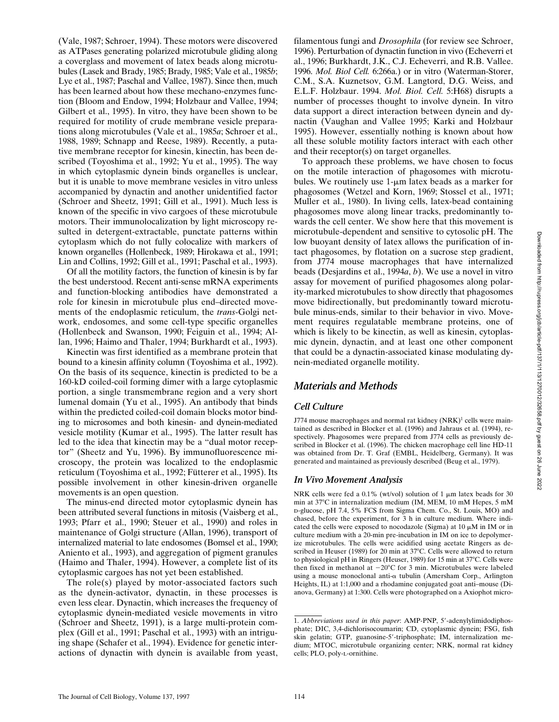(Vale, 1987; Schroer, 1994). These motors were discovered as ATPases generating polarized microtubule gliding along a coverglass and movement of latex beads along microtubules (Lasek and Brady, 1985; Brady, 1985; Vale et al., 1985*b*; Lye et al., 1987; Paschal and Vallee, 1987). Since then, much has been learned about how these mechano-enzymes function (Bloom and Endow, 1994; Holzbaur and Vallee, 1994; Gilbert et al., 1995). In vitro, they have been shown to be required for motility of crude membrane vesicle preparations along microtubules (Vale et al., 1985*a*; Schroer et al., 1988, 1989; Schnapp and Reese, 1989). Recently, a putative membrane receptor for kinesin, kinectin, has been described (Toyoshima et al., 1992; Yu et al., 1995). The way in which cytoplasmic dynein binds organelles is unclear, but it is unable to move membrane vesicles in vitro unless accompanied by dynactin and another unidentified factor (Schroer and Sheetz, 1991; Gill et al., 1991). Much less is known of the specific in vivo cargoes of these microtubule motors. Their immunolocalization by light microscopy resulted in detergent-extractable, punctate patterns within cytoplasm which do not fully colocalize with markers of known organelles (Hollenbeck, 1989; Hirokawa et al., 1991; Lin and Collins, 1992; Gill et al., 1991; Paschal et al., 1993).

Of all the motility factors, the function of kinesin is by far the best understood. Recent anti-sense mRNA experiments and function-blocking antibodies have demonstrated a role for kinesin in microtubule plus end–directed movements of the endoplasmic reticulum, the *trans*-Golgi network, endosomes, and some cell-type specific organelles (Hollenbeck and Swanson, 1990; Feiguin et al., 1994; Allan, 1996; Haimo and Thaler, 1994; Burkhardt et al., 1993).

Kinectin was first identified as a membrane protein that bound to a kinesin affinity column (Toyoshima et al., 1992). On the basis of its sequence, kinectin is predicted to be a 160-kD coiled-coil forming dimer with a large cytoplasmic portion, a single transmembrane region and a very short lumenal domain (Yu et al., 1995). An antibody that binds within the predicted coiled-coil domain blocks motor binding to microsomes and both kinesin- and dynein-mediated vesicle motility (Kumar et al., 1995). The latter result has led to the idea that kinectin may be a "dual motor receptor" (Sheetz and Yu, 1996). By immunofluorescence microscopy, the protein was localized to the endoplasmic reticulum (Toyoshima et al., 1992; Fütterer et al., 1995). Its possible involvement in other kinesin-driven organelle movements is an open question.

The minus-end directed motor cytoplasmic dynein has been attributed several functions in mitosis (Vaisberg et al., 1993; Pfarr et al., 1990; Steuer et al., 1990) and roles in maintenance of Golgi structure (Allan, 1996), transport of internalized material to late endosomes (Bomsel et al., 1990; Aniento et al., 1993), and aggregation of pigment granules (Haimo and Thaler, 1994). However, a complete list of its cytoplasmic cargoes has not yet been established.

The role(s) played by motor-associated factors such as the dynein-activator, dynactin, in these processes is even less clear. Dynactin, which increases the frequency of cytoplasmic dynein-mediated vesicle movements in vitro (Schroer and Sheetz, 1991), is a large multi-protein complex (Gill et al., 1991; Paschal et al., 1993) with an intriguing shape (Schafer et al., 1994). Evidence for genetic interactions of dynactin with dynein is available from yeast,

filamentous fungi and *Drosophila* (for review see Schroer, 1996). Perturbation of dynactin function in vivo (Echeverri et al., 1996; Burkhardt, J.K., C.J. Echeverri, and R.B. Vallee. 1996. *Mol. Biol Cell.* 6:266a.) or in vitro (Waterman-Storer, C.M., S.A. Kuznetsov, G.M. Langtord, D.G. Weiss, and E.L.F. Holzbaur. 1994. *Mol. Biol. Cell.* 5:H68) disrupts a number of processes thought to involve dynein. In vitro data support a direct interaction between dynein and dynactin (Vaughan and Vallee 1995; Karki and Holzbaur 1995). However, essentially nothing is known about how all these soluble motility factors interact with each other and their receptor(s) on target organelles.

To approach these problems, we have chosen to focus on the motile interaction of phagosomes with microtubules. We routinely use  $1-\mu m$  latex beads as a marker for phagosomes (Wetzel and Korn, 1969; Stossel et al., 1971; Muller et al., 1980). In living cells, latex-bead containing phagosomes move along linear tracks, predominantly towards the cell center. We show here that this movement is microtubule-dependent and sensitive to cytosolic pH. The low buoyant density of latex allows the purification of intact phagosomes, by flotation on a sucrose step gradient, from J774 mouse macrophages that have internalized beads (Desjardins et al., 1994*a*, *b*). We use a novel in vitro assay for movement of purified phagosomes along polarity-marked microtubules to show directly that phagosomes move bidirectionally, but predominantly toward microtubule minus-ends, similar to their behavior in vivo. Movement requires regulatable membrane proteins, one of which is likely to be kinectin, as well as kinesin, cytoplasmic dynein, dynactin, and at least one other component that could be a dynactin-associated kinase modulating dynein-mediated organelle motility.

# *Materials and Methods*

# *Cell Culture*

J774 mouse macrophages and normal rat kidney  $(NRK)^1$  cells were maintained as described in Blocker et al. (1996) and Jahraus et al. (1994), respectively. Phagosomes were prepared from J774 cells as previously described in Blocker et al. (1996). The chicken macrophage cell line HD-11 was obtained from Dr. T. Graf (EMBL, Heidelberg, Germany). It was generated and maintained as previously described (Beug et al., 1979).

# *In Vivo Movement Analysis*

NRK cells were fed a 0.1% (wt/vol) solution of 1  $\mu$ m latex beads for 30 min at 37°C in internalization medium (IM, MEM, 10 mM Hepes, 5 mM d-glucose, pH 7.4, 5% FCS from Sigma Chem. Co., St. Louis, MO) and chased, before the experiment, for 3 h in culture medium. Where indicated the cells were exposed to nocodazole (Sigma) at 10  $\mu$ M in IM or in culture medium with a 20-min pre-incubation in IM on ice to depolymerize microtubules. The cells were acidified using acetate Ringers as described in Heuser (1989) for 20 min at 37°C. Cells were allowed to return to physiological pH in Ringers (Heuser, 1989) for 15 min at 37°C. Cells were then fixed in methanol at  $-20^{\circ}$ C for 3 min. Microtubules were labeled using a mouse monoclonal anti- $\alpha$  tubulin (Amersham Corp., Arlington Heights, IL) at 1:1,000 and a rhodamine conjugated goat anti–mouse (Dianova, Germany) at 1:300. Cells were photographed on a Axiophot micro-

<sup>1.</sup> *Abbreviations used in this paper*: AMP-PNP, 5'-adenylylimidodiphosphate; DIC, 3,4-dichlorisocoumarin; CD, cytoplasmic dynein; FSG, fish skin gelatin; GTP, guanosine-5'-triphosphate; IM, internalization medium; MTOC, microtubule organizing center; NRK, normal rat kidney cells; PLO, poly-l-ornithine.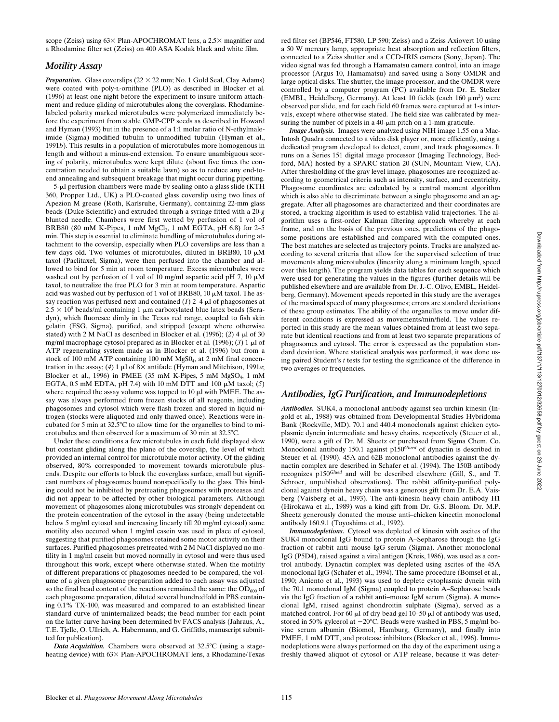# *Motility Assay*

*Preparation.* Glass coverslips  $(22 \times 22 \text{ mm})$ ; No. 1 Gold Seal, Clay Adams) were coated with poly-l-ornithine (PLO) as described in Blocker et al. (1996) at least one night before the experiment to insure uniform attachment and reduce gliding of microtubules along the coverglass. Rhodaminelabeled polarity marked microtubules were polymerized immediately before the experiment from stable GMP-CPP seeds as described in Howard and Hyman (1993) but in the presence of a 1:1 molar ratio of N-ethylmaleimide (Sigma) modified tubulin to unmodified tubulin (Hyman et al., 1991*b*). This results in a population of microtubules more homogenous in length and without a minus-end extension. To ensure unambiguous scoring of polarity, microtubules were kept dilute (about five times the concentration needed to obtain a suitable lawn) so as to reduce any end-toend annealing and subsequent breakage that might occur during pipetting.

5-µl perfusion chambers were made by sealing onto a glass slide (KTH 360, Propper Ltd., UK) a PLO-coated glass coverslip using two lines of Apezion M grease (Roth, Karlsruhe, Germany), containing 22-mm glass beads (Duke Scientific) and extruded through a syringe fitted with a 20-*g* blunted needle. Chambers were first wetted by perfusion of 1 vol of BRB80 (80 mM K-Pipes, 1 mM  $MgCl<sub>2</sub>$ , 1 mM EGTA, pH 6.8) for 2-5 min. This step is essential to eliminate bundling of microtubules during attachment to the coverslip, especially when PLO coverslips are less than a few days old. Two volumes of microtubules, diluted in BRB80, 10  $\mu$ M taxol (Paclitaxel, Sigma), were then perfused into the chamber and allowed to bind for 5 min at room temperature. Excess microtubules were washed out by perfusion of 1 vol of 10 mg/ml aspartic acid pH 7, 10  $\mu$ M taxol, to neutralize the free PLO for 3 min at room temperature. Aspartic acid was washed out by perfusion of 1 vol of BRB80, 10  $\mu$ M taxol. The assay reaction was perfused next and contained  $(1)$  2–4  $\mu$ l of phagosomes at  $2.5 \times 10^9$  beads/ml containing 1  $\mu$ m carboxylated blue latex beads (Seradyn), which fluoresce dimly in the Texas red range, coupled to fish skin gelatin (FSG, Sigma), purified, and stripped (except where otherwise stated) with 2 M NaCl as described in Blocker et al. (1996); (2) 4  $\mu$ l of 30 mg/ml macrophage cytosol prepared as in Blocker et al. (1996); (*3*) 1 ml of ATP regenerating system made as in Blocker et al. (1996) but from a stock of 100 mM ATP containing 100 mM MgS0<sub>4</sub>, at 2 mM final concentration in the assay; (4) 1  $\mu$ l of 8× antifade (Hyman and Mitchison, 1991*a*; Blocker et al., 1996) in PMEE (35 mM K-Pipes, 5 mM MgSO<sub>4</sub>, 1 mM EGTA, 0.5 mM EDTA, pH 7.4) with 10 mM DTT and 100 mM taxol; (*5*) where required the assay volume was topped to  $10 \mu l$  with PMEE. The assay was always performed from frozen stocks of all reagents, including phagosomes and cytosol which were flash frozen and stored in liquid nitrogen (stocks were aliquoted and only thawed once). Reactions were incubated for 5 min at  $32.5^{\circ}$ C to allow time for the organelles to bind to microtubules and then observed for a maximum of 30 min at  $32.5^{\circ}$ C.

Under these conditions a few microtubules in each field displayed slow but constant gliding along the plane of the coverslip, the level of which provided an internal control for microtubule motor activity. Of the gliding observed, 80% corresponded to movement towards microtubule plusends. Despite our efforts to block the coverglass surface, small but significant numbers of phagosomes bound nonspecifically to the glass. This binding could not be inhibited by pretreating phagosomes with proteases and did not appear to be affected by other biological parameters. Although movement of phagosomes along microtubules was strongly dependent on the protein concentration of the cytosol in the assay (being undetectable below 5 mg/ml cytosol and increasing linearly till 20 mg/ml cytosol) some motility also occured when 1 mg/ml casein was used in place of cytosol, suggesting that purified phagosomes retained some motor activity on their surfaces. Purified phagosomes pretreated with 2 M NaCl displayed no motility in 1 mg/ml casein but moved normally in cytosol and were thus used throughout this work, except where otherwise stated. When the motility of different preparations of phagosomes needed to be compared, the volume of a given phagosome preparation added to each assay was adjusted so the final bead content of the reactions remained the same: the  $OD_{600}$  of each phagosome preparation, diluted several hundredfold in PBS containing 0.1% TX-100, was measured and compared to an established linear standard curve of uninternalized beads; the bead number for each point on the latter curve having been determined by FACS analysis (Jahraus, A., T.E. Tjelle, O. Ullrich, A. Habermann, and G. Griffiths, manuscript submitted for publication).

*Data Acquisition.* Chambers were observed at 32.5°C (using a stageheating device) with  $63 \times$  Plan-APOCHROMAT lens, a Rhodamine/Texas

red filter set (BP546, FT580, LP 590; Zeiss) and a Zeiss Axiovert 10 using a 50 W mercury lamp, appropriate heat absorption and reflection filters, connected to a Zeiss shutter and a CCD-IRIS camera (Sony, Japan). The video signal was fed through a Hamamatsu camera control, into an image processor (Argus 10, Hamamatsu) and saved using a Sony OMDR and large optical disks. The shutter, the image processor, and the OMDR were controlled by a computer program (PC) available from Dr. E. Stelzer (EMBL, Heidelberg, Germany). At least 10 fields (each  $160 \mu m^2$ ) were observed per slide, and for each field 60 frames were captured at 1-s intervals, except where otherwise stated. The field size was calibrated by measuring the number of pixels in a  $40$ - $\mu$ m pitch on a 1-mm graticule.

*Image Analysis.* Images were analyzed using NIH image 1.55 on a Mac-Intosh Quadra connected to a video disk player or, more efficiently, using a dedicated program developed to detect, count, and track phagosomes. It runs on a Series 151 digital image processor (Imaging Technology, Bedford, MA) hosted by a SPARC station 20 (SUN, Mountain View, CA). After thresholding of the gray level image, phagosomes are recognized according to geometrical criteria such as intensity, surface, and eccentricity. Phagosome coordinates are calculated by a central moment algorithm which is also able to discriminate between a single phagosome and an aggregate. After all phagosomes are characterized and their coordinates are stored, a tracking algorithm is used to establish valid trajectories. The algorithm uses a first-order Kalman filtering approach whereby at each frame, and on the basis of the previous ones, predictions of the phagosome positions are established and compared with the computed ones. The best matches are selected as trajectory points. Tracks are analyzed according to several criteria that allow for the supervised selection of true movements along microtubules (linearity along a minimum length, speed over this length). The program yields data tables for each sequence which were used for generating the values in the figures (further details will be published elsewhere and are available from Dr. J.-C. Olivo, EMBL, Heidelberg, Germany). Movement speeds reported in this study are the averages of the maximal speed of many phagosomes; errors are standard deviations of these group estimates. The ability of the organelles to move under different conditions is expressed as movements/min/field. The values reported in this study are the mean values obtained from at least two separate but identical reactions and from at least two separate preparations of phagosomes and cytosol. The error is expressed as the population standard deviation. Where statistical analysis was performed, it was done using paired Student's *t* tests for testing the significance of the difference in two averages or frequencies.

# *Antibodies, IgG Purification, and Immunodepletions*

*Antibodies.* SUK4, a monoclonal antibody against sea urchin kinesin (Ingold et al., 1988) was obtained from Developmental Studies Hybridoma Bank (Rockville, MD). 70.1 and 440.4 monoclonals against chicken cytoplasmic dynein intermediate and heavy chains, respectively (Steuer et al., 1990), were a gift of Dr. M. Sheetz or purchased from Sigma Chem. Co. Monoclonal antibody 150.1 against p150*Glued* of dynactin is described in Steuer et al. (1990). 45A and 62B monoclonal antibodies against the dynactin complex are described in Schafer et al. (1994). The 150B antibody recognizes p150*Glued* and will be described elsewhere (Gill, S., and T. Schroer, unpublished observations). The rabbit affinity-purified polyclonal against dynein heavy chain was a generous gift from Dr. E.A. Vaisberg (Vaisberg et al., 1993). The anti-kinesin heavy chain antibody H1 (Hirokawa et al., 1989) was a kind gift from Dr. G.S. Bloom. Dr. M.P. Sheetz generously donated the mouse anti–chicken kinectin monoclonal antibody 160.9.1 (Toyoshima et al., 1992).

*Immunodepletions.* Cytosol was depleted of kinesin with ascites of the SUK4 monoclonal IgG bound to protein A–Sepharose through the IgG fraction of rabbit anti–mouse IgG serum (Sigma). Another monoclonal IgG (P5D4), raised against a viral antigen (Kreis, 1986), was used as a control antibody. Dynactin complex was depleted using ascites of the 45A monoclonal IgG (Schafer et al., 1994). The same procedure (Bomsel et al., 1990; Aniento et al., 1993) was used to deplete cytoplasmic dynein with the 70.1 monoclonal IgM (Sigma) coupled to protein A–Sepharose beads via the IgG fraction of a rabbit anti–mouse IgM serum (Sigma). A monoclonal IgM, raised against chondroitin sulphate (Sigma), served as a matched control. For 60  $\mu$ l of dry bead gel 10–50  $\mu$ l of antibody was used, stored in 50% gylcerol at  $-20^{\circ}$ C. Beads were washed in PBS, 5 mg/ml bovine serum albumin (Biomol, Hamburg, Germany), and finally into PMEE, 1 mM DTT, and protease inhibitors (Blocker et al., 1996). Immunodepletions were always performed on the day of the experiment using a freshly thawed aliquot of cytosol or ATP release, because it was deter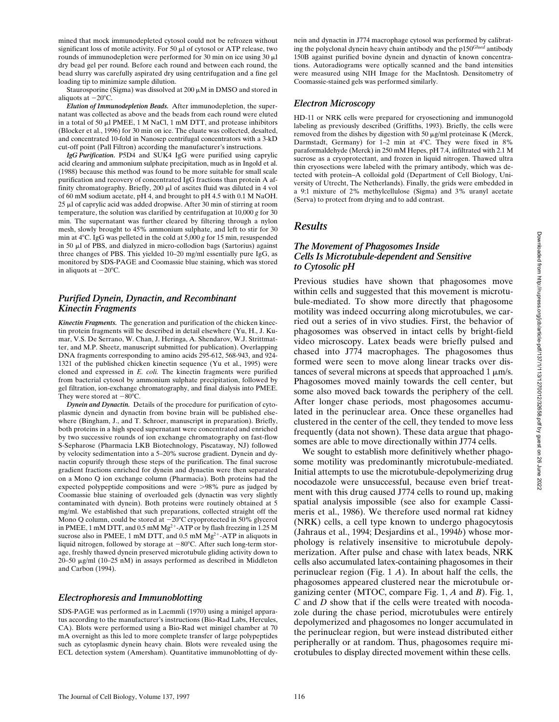mined that mock immunodepleted cytosol could not be refrozen without significant loss of motile activity. For 50  $\mu$ l of cytosol or ATP release, two rounds of immunodepletion were performed for 30 min on ice using  $30 \mu$ l dry bead gel per round. Before each round and between each round, the bead slurry was carefully aspirated dry using centrifugation and a fine gel loading tip to minimize sample dilution.

Staurosporine (Sigma) was dissolved at 200  $\mu\text{M}$  in DMSO and stored in aliquots at  $-20^{\circ}$ C.

*Elution of Immunodepletion Beads.* After immunodepletion, the supernatant was collected as above and the beads from each round were eluted in a total of 50  $\mu$ l PMEE, 1 M NaCl, 1 mM DTT, and protease inhibitors (Blocker et al., 1996) for 30 min on ice. The eluate was collected, desalted, and concentrated 10-fold in Nanosep centrifugal concentrators with a 3-kD cut-off point (Pall Filtron) according the manufacturer's instructions.

*IgG Purification.* P5D4 and SUK4 IgG were purified using caprylic acid clearing and ammonium sulphate precipitation, much as in Ingold et al. (1988) because this method was found to be more suitable for small scale purification and recovery of concentrated IgG fractions than protein A affinity chromatography. Briefly,  $200 \mu l$  of ascites fluid was diluted in 4 vol of 60 mM sodium acetate, pH 4, and brought to pH 4.5 with 0.1 M NaOH. 25 µl of caprylic acid was added dropwise. After 30 min of stirring at room temperature, the solution was clarified by centrifugation at 10,000 *g* for 30 min. The supernatant was further cleared by filtering through a nylon mesh, slowly brought to 45% ammonium sulphate, and left to stir for 30 min at 4<sup>o</sup>C. IgG was pelleted in the cold at 5,000 *g* for 15 min, resuspended in 50  $\mu$ l of PBS, and dialyzed in micro-collodion bags (Sartorius) against three changes of PBS. This yielded 10–20 mg/ml essentially pure IgG, as monitored by SDS-PAGE and Coomassie blue staining, which was stored in aliquots at  $-20^{\circ}$ C.

# *Purified Dynein, Dynactin, and Recombinant Kinectin Fragments*

*Kinectin Fragments.* The generation and purification of the chicken kinectin protein fragments will be described in detail elsewhere (Yu, H., J. Kumar, V.S. De Serrano, W. Chan, J. Heringa, A. Shendarov, W.J. Strittmatter, and M.P. Sheetz, manuscript submitted for publication). Overlapping DNA fragments corresponding to amino acids 295-612, 568-943, and 924- 1321 of the published chicken kinectin sequence (Yu et al., 1995) were cloned and expressed in *E. coli.* The kinectin fragments were purified from bacterial cytosol by ammonium sulphate precipitation, followed by gel filtration, ion-exchange chromatography, and final dialysis into PMEE. They were stored at  $-80^{\circ}$ C.

*Dynein and Dynactin.* Details of the procedure for purification of cytoplasmic dynein and dynactin from bovine brain will be published elsewhere (Bingham, J., and T. Schroer, manuscript in preparation). Briefly, both proteins in a high speed supernatant were concentrated and enriched by two successive rounds of ion exchange chromatography on fast-flow S-Sepharose (Pharmacia LKB Biotechnology, Piscataway, NJ) followed by velocity sedimentation into a 5–20% sucrose gradient. Dynein and dynactin copurify through these steps of the purification. The final sucrose gradient fractions enriched for dynein and dynactin were then separated on a Mono Q ion exchange column (Pharmacia). Both proteins had the expected polypeptide compositions and were  $>98\%$  pure as judged by Coomassie blue staining of overloaded gels (dynactin was very slightly contaminated with dynein). Both proteins were routinely obtained at 5 mg/ml. We established that such preparations, collected straight off the Mono Q column, could be stored at  $-20^{\circ}$ C cryoprotected in 50% glycerol in PMEE, 1 mM DTT, and 0.5 mM  $Mg^{2+}$ -ATP or by flash freezing in 1.25 M sucrose also in PMEE, 1 mM DTT, and 0.5 mM  $Mg^{2+}$ -ATP in aliquots in liquid nitrogen, followed by storage at  $-80^{\circ}$ C. After such long-term storage, freshly thawed dynein preserved microtubule gliding activity down to 20–50  $\mu$ g/ml (10–25 nM) in assays performed as described in Middleton and Carbon (1994).

#### *Electrophoresis and Immunoblotting*

SDS-PAGE was performed as in Laemmli (1970) using a minigel apparatus according to the manufacturer's instructions (Bio-Rad Labs, Hercules, CA). Blots were performed using a Bio-Rad wet minigel chamber at 70 mA overnight as this led to more complete transfer of large polypeptides such as cytoplasmic dynein heavy chain. Blots were revealed using the ECL detection system (Amersham). Quantitative immunoblotting of dynein and dynactin in J774 macrophage cytosol was performed by calibrating the polyclonal dynein heavy chain antibody and the p150*Glued* antibody 150B against purified bovine dynein and dynactin of known concentrations. Autoradiograms were optically scanned and the band intensities were measured using NIH Image for the MacIntosh. Densitometry of Coomassie-stained gels was performed similarly.

#### *Electron Microscopy*

HD-11 or NRK cells were prepared for cryosectioning and immunogold labeling as previously described (Griffiths, 1993). Briefly, the cells were removed from the dishes by digestion with 50  $\mu$ g/ml proteinase K (Merck, Darmstadt, Germany) for  $1-2$  min at  $4^{\circ}$ C. They were fixed in 8% paraformaldehyde (Merck) in 250 mM Hepes, pH 7.4, infiltrated with 2.1 M sucrose as a cryoprotectant, and frozen in liquid nitrogen. Thawed ultra thin cryosections were labeled with the primary antibody, which was detected with protein–A colloidal gold (Department of Cell Biology, University of Utrecht, The Netherlands). Finally, the grids were embedded in a 9:1 mixture of 2% methylcellulose (Sigma) and 3% uranyl acetate (Serva) to protect from drying and to add contrast.

# *Results*

# *The Movement of Phagosomes Inside Cells Is Microtubule-dependent and Sensitive to Cytosolic pH*

Previous studies have shown that phagosomes move within cells and suggested that this movement is microtubule-mediated. To show more directly that phagosome motility was indeed occurring along microtubules, we carried out a series of in vivo studies. First, the behavior of phagosomes was observed in intact cells by bright-field video microscopy. Latex beads were briefly pulsed and chased into J774 macrophages. The phagosomes thus formed were seen to move along linear tracks over distances of several microns at speeds that approached  $1 \mu m/s$ . Phagosomes moved mainly towards the cell center, but some also moved back towards the periphery of the cell. After longer chase periods, most phagosomes accumulated in the perinuclear area. Once these organelles had clustered in the center of the cell, they tended to move less frequently (data not shown). These data argue that phagosomes are able to move directionally within J774 cells.

We sought to establish more definitively whether phagosome motility was predominantly microtubule-mediated. Initial attempts to use the microtubule-depolymerizing drug nocodazole were unsuccessful, because even brief treatment with this drug caused J774 cells to round up, making spatial analysis impossible (see also for example Cassimeris et al., 1986). We therefore used normal rat kidney (NRK) cells, a cell type known to undergo phagocytosis (Jahraus et al., 1994; Desjardins et al., 1994*b*) whose morphology is relatively insensitive to microtubule depolymerization. After pulse and chase with latex beads, NRK cells also accumulated latex-containing phagosomes in their perinuclear region (Fig. 1 *A*). In about half the cells, the phagosomes appeared clustered near the microtubule organizing center (MTOC, compare Fig. 1, *A* and *B*). Fig. 1, *C* and *D* show that if the cells were treated with nocodazole during the chase period, microtubules were entirely depolymerized and phagosomes no longer accumulated in the perinuclear region, but were instead distributed either peripherally or at random. Thus, phagosomes require microtubules to display directed movement within these cells.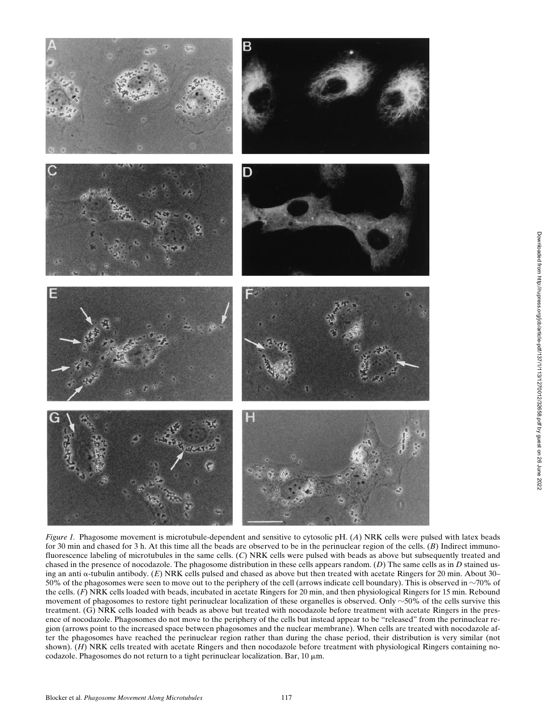

*Figure 1.* Phagosome movement is microtubule-dependent and sensitive to cytosolic pH. (*A*) NRK cells were pulsed with latex beads for 30 min and chased for 3 h. At this time all the beads are observed to be in the perinuclear region of the cells. (*B*) Indirect immunofluorescence labeling of microtubules in the same cells. (*C*) NRK cells were pulsed with beads as above but subsequently treated and chased in the presence of nocodazole. The phagosome distribution in these cells appears random. (*D*) The same cells as in *D* stained using an anti a-tubulin antibody. (*E*) NRK cells pulsed and chased as above but then treated with acetate Ringers for 20 min. About 30– 50% of the phagosomes were seen to move out to the periphery of the cell (arrows indicate cell boundary). This is observed in  $\sim$ 70% of the cells. (*F*) NRK cells loaded with beads, incubated in acetate Ringers for 20 min, and then physiological Ringers for 15 min. Rebound movement of phagosomes to restore tight perinuclear localization of these organelles is observed. Only  $\sim$ 50% of the cells survive this treatment. (G) NRK cells loaded with beads as above but treated with nocodazole before treatment with acetate Ringers in the presence of nocodazole. Phagosomes do not move to the periphery of the cells but instead appear to be "released" from the perinuclear region (arrows point to the increased space between phagosomes and the nuclear membrane). When cells are treated with nocodazole after the phagosomes have reached the perinuclear region rather than during the chase period, their distribution is very similar (not shown). (*H*) NRK cells treated with acetate Ringers and then nocodazole before treatment with physiological Ringers containing nocodazole. Phagosomes do not return to a tight perinuclear localization. Bar,  $10 \mu m$ .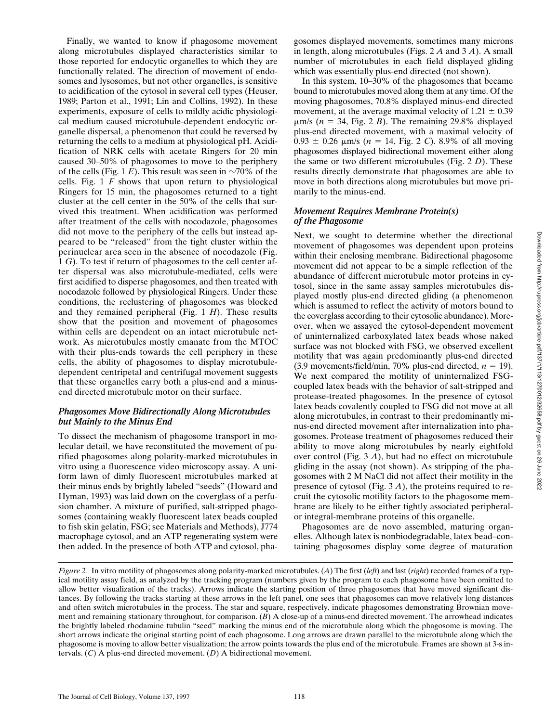Finally, we wanted to know if phagosome movement along microtubules displayed characteristics similar to those reported for endocytic organelles to which they are functionally related. The direction of movement of endosomes and lysosomes, but not other organelles, is sensitive to acidification of the cytosol in several cell types (Heuser, 1989; Parton et al., 1991; Lin and Collins, 1992). In these experiments, exposure of cells to mildly acidic physiological medium caused microtubule-dependent endocytic organelle dispersal, a phenomenon that could be reversed by returning the cells to a medium at physiological pH. Acidification of NRK cells with acetate Ringers for 20 min caused 30–50% of phagosomes to move to the periphery of the cells (Fig. 1 *E*). This result was seen in  $\sim$ 70% of the cells. Fig. 1 *F* shows that upon return to physiological Ringers for 15 min, the phagosomes returned to a tight cluster at the cell center in the 50% of the cells that survived this treatment. When acidification was performed after treatment of the cells with nocodazole, phagosomes did not move to the periphery of the cells but instead appeared to be "released" from the tight cluster within the perinuclear area seen in the absence of nocodazole (Fig. 1 *G*). To test if return of phagosomes to the cell center after dispersal was also microtubule-mediated, cells were first acidified to disperse phagosomes, and then treated with nocodazole followed by physiological Ringers. Under these conditions, the reclustering of phagosomes was blocked and they remained peripheral (Fig. 1 *H*). These results show that the position and movement of phagosomes within cells are dependent on an intact microtubule network. As microtubules mostly emanate from the MTOC with their plus-ends towards the cell periphery in these cells, the ability of phagosomes to display microtubuledependent centripetal and centrifugal movement suggests that these organelles carry both a plus-end and a minusend directed microtubule motor on their surface.

## *Phagosomes Move Bidirectionally Along Microtubules but Mainly to the Minus End*

To dissect the mechanism of phagosome transport in molecular detail, we have reconstituted the movement of purified phagosomes along polarity-marked microtubules in vitro using a fluorescence video microscopy assay. A uniform lawn of dimly fluorescent microtubules marked at their minus ends by brightly labeled "seeds" (Howard and Hyman, 1993) was laid down on the coverglass of a perfusion chamber. A mixture of purified, salt-stripped phagosomes (containing weakly fluorescent latex beads coupled to fish skin gelatin, FSG; see Materials and Methods), J774 macrophage cytosol, and an ATP regenerating system were then added. In the presence of both ATP and cytosol, pha-

gosomes displayed movements, sometimes many microns in length, along microtubules (Figs. 2 *A* and 3 *A*). A small number of microtubules in each field displayed gliding which was essentially plus-end directed (not shown).

In this system, 10–30% of the phagosomes that became bound to microtubules moved along them at any time. Of the moving phagosomes, 70.8% displayed minus-end directed movement, at the average maximal velocity of  $1.21 \pm 0.39$  $\mu$ m/s ( $n = 34$ , Fig. 2 *B*). The remaining 29.8% displayed plus-end directed movement, with a maximal velocity of  $0.93 \pm 0.26$   $\mu$ m/s (*n* = 14, Fig. 2 *C*). 8.9% of all moving phagosomes displayed bidirectional movement either along the same or two different microtubules (Fig. 2 *D*). These results directly demonstrate that phagosomes are able to move in both directions along microtubules but move primarily to the minus-end.

# *Movement Requires Membrane Protein(s) of the Phagosome*

Next, we sought to determine whether the directional movement of phagosomes was dependent upon proteins within their enclosing membrane. Bidirectional phagosome movement did not appear to be a simple reflection of the abundance of different microtubule motor proteins in cytosol, since in the same assay samples microtubules displayed mostly plus-end directed gliding (a phenomenon which is assumed to reflect the activity of motors bound to the coverglass according to their cytosolic abundance). Moreover, when we assayed the cytosol-dependent movement of uninternalized carboxylated latex beads whose naked surface was not blocked with FSG, we observed excellent motility that was again predominantly plus-end directed (3.9 movements/field/min, 70% plus-end directed,  $n = 19$ ). We next compared the motility of uninternalized FSGcoupled latex beads with the behavior of salt-stripped and protease-treated phagosomes. In the presence of cytosol latex beads covalently coupled to FSG did not move at all along microtubules, in contrast to their predominantly minus-end directed movement after internalization into phagosomes. Protease treatment of phagosomes reduced their ability to move along microtubules by nearly eightfold over control (Fig. 3 *A*), but had no effect on microtubule gliding in the assay (not shown). As stripping of the phagosomes with 2 M NaCl did not affect their motility in the presence of cytosol (Fig. 3 *A*), the proteins required to recruit the cytosolic motility factors to the phagosome membrane are likely to be either tightly associated peripheralor integral-membrane proteins of this organelle.

Phagosomes are de novo assembled, maturing organelles. Although latex is nonbiodegradable, latex bead–containing phagosomes display some degree of maturation

*Figure 2.* In vitro motility of phagosomes along polarity-marked microtubules. (*A*) The first (*left*) and last (*right*) recorded frames of a typical motility assay field, as analyzed by the tracking program (numbers given by the program to each phagosome have been omitted to allow better visualization of the tracks). Arrows indicate the starting position of three phagosomes that have moved significant distances. By following the tracks starting at these arrows in the left panel, one sees that phagosomes can move relatively long distances and often switch microtubules in the process. The star and square, respectively, indicate phagosomes demonstrating Brownian movement and remaining stationary throughout, for comparison. (*B*) A close-up of a minus-end directed movement. The arrowhead indicates the brightly labeled rhodamine tubulin "seed" marking the minus end of the microtubule along which the phagosome is moving. The short arrows indicate the original starting point of each phagosome. Long arrows are drawn parallel to the microtubule along which the phagosome is moving to allow better visualization; the arrow points towards the plus end of the microtubule. Frames are shown at 3-s intervals. (*C*) A plus-end directed movement. (*D*) A bidirectional movement.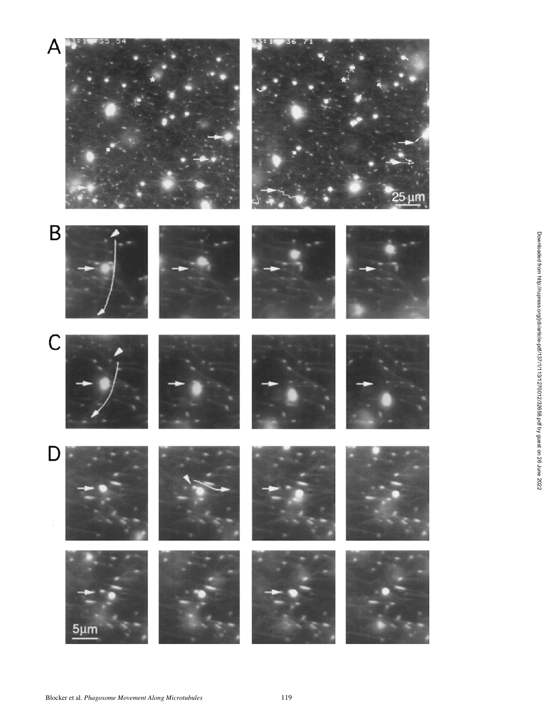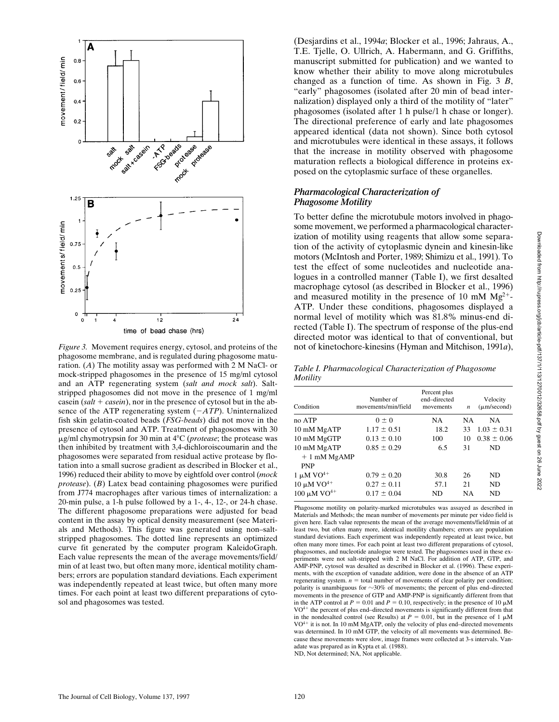

phagosome membrane, and is regulated during phagosome maturation. (*A*) The motility assay was performed with 2 M NaCl- or mock-stripped phagosomes in the presence of 15 mg/ml cytosol and an ATP regenerating system (*salt and mock salt*). Saltstripped phagosomes did not move in the presence of 1 mg/ml casein  $(salt + casein)$ , nor in the presence of cytosol but in the absence of the ATP regenerating system  $(-ATP)$ . Uninternalized fish skin gelatin-coated beads (*FSG-beads*) did not move in the presence of cytosol and ATP. Treatment of phagosomes with 30 μg/ml chymotrypsin for 30 min at 4°C (*protease*; the protease was then inhibited by treatment with 3,4-dichloroiscoumarin and the phagosomes were separated from residual active protease by flotation into a small sucrose gradient as described in Blocker et al., 1996) reduced their ability to move by eightfold over control (*mock protease*). (*B*) Latex bead containing phagosomes were purified from J774 macrophages after various times of internalization: a 20-min pulse, a 1-h pulse followed by a 1-, 4-, 12-, or 24-h chase. The different phagosome preparations were adjusted for bead content in the assay by optical density measurement (see Materials and Methods). This figure was generated using non–saltstripped phagosomes. The dotted line represents an optimized curve fit generated by the computer program KaleidoGraph. Each value represents the mean of the average movements/field/ min of at least two, but often many more, identical motility chambers; errors are population standard deviations. Each experiment was independently repeated at least twice, but often many more times. For each point at least two different preparations of cytosol and phagosomes was tested.

(Desjardins et al., 1994*a*; Blocker et al., 1996; Jahraus, A., T.E. Tjelle, O. Ullrich, A. Habermann, and G. Griffiths, manuscript submitted for publication) and we wanted to know whether their ability to move along microtubules changed as a function of time. As shown in Fig. 3 *B*, "early" phagosomes (isolated after 20 min of bead internalization) displayed only a third of the motility of "later" phagosomes (isolated after 1 h pulse/1 h chase or longer). The directional preference of early and late phagosomes appeared identical (data not shown). Since both cytosol and microtubules were identical in these assays, it follows that the increase in motility observed with phagosome maturation reflects a biological difference in proteins exposed on the cytoplasmic surface of these organelles.

#### *Pharmacological Characterization of Phagosome Motility*

To better define the microtubule motors involved in phagosome movement, we performed a pharmacological characterization of motility using reagents that allow some separation of the activity of cytoplasmic dynein and kinesin-like motors (McIntosh and Porter, 1989; Shimizu et al., 1991). To test the effect of some nucleotides and nucleotide analogues in a controlled manner (Table I), we first desalted macrophage cytosol (as described in Blocker et al., 1996) and measured motility in the presence of 10 mM  $Mg^{2+}$ -ATP. Under these conditions, phagosomes displayed a normal level of motility which was 81.8% minus-end directed (Table I). The spectrum of response of the plus-end directed motor was identical to that of conventional, but *Figure 3.* Movement requires energy, cytosol, and proteins of the not of kinetochore-kinesins (Hyman and Mitchison, 1991*a*),

*Table I. Pharmacological Characterization of Phagosome Motility*

| Condition                              | Number of<br>movements/min/field | Percent plus<br>end-directed<br>movements | $\boldsymbol{n}$ | Velocity<br>$(\mu m/second)$ |
|----------------------------------------|----------------------------------|-------------------------------------------|------------------|------------------------------|
| no ATP                                 | $0 \pm 0$                        | NA                                        | NA               | NA                           |
| 10 mM MgATP                            | $1.17 \pm 0.51$                  | 18.2                                      | 33               | $1.03 \pm 0.31$              |
| 10 mM MgGTP                            | $0.13 \pm 0.10$                  | 100                                       | 10               | $0.38 \pm 0.06$              |
| 10 mM MgATP                            | $0.85 \pm 0.29$                  | 6.5                                       | 31               | ND                           |
| $+1$ mM MgAMP                          |                                  |                                           |                  |                              |
| <b>PNP</b>                             |                                  |                                           |                  |                              |
| $1 \mu M VO^{4+}$                      | $0.79 \pm 0.20$                  | 30.8                                      | 26               | ND                           |
| $10~\upmu\textrm{M}$ VO <sup>4+</sup>  | $0.27 \pm 0.11$                  | 57.1                                      | 21               | <b>ND</b>                    |
| $100~\mu\mathrm{M}$ $\mathrm{VO}^{4+}$ | $0.17 \pm 0.04$                  | ND                                        | NA               | ND                           |

Phagosome motility on polarity-marked microtubules was assayed as described in Materials and Methods; the mean number of movements per minute per video field is given here. Each value represents the mean of the average movements/field/min of at least two, but often many more, identical motility chambers; errors are population standard deviations. Each experiment was independently repeated at least twice, but often many more times. For each point at least two different preparations of cytosol, phagosomes, and nucleotide analogue were tested. The phagosomes used in these experiments were not salt-stripped with 2 M NaCl. For addition of ATP, GTP, and AMP-PNP, cytosol was desalted as described in Blocker et al. (1996). These experiments, with the exception of vanadate addition, were done in the absence of an ATP regenerating system.  $n =$  total number of movements of clear polarity per condition; polarity is unambiguous for  $\sim$ 30% of movements; the percent of plus end–directed movements in the presence of GTP and AMP-PNP is significantly different from that in the ATP control at  $P = 0.01$  and  $P = 0.10$ , respectively; in the presence of 10  $\mu$ M  $VO^{4+}$  the percent of plus end–directed movements is significantly different from that in the nondesalted control (see Results) at  $P = 0.01$ , but in the presence of 1  $\mu$ M  $VO^{4+}$  it is not. In 10 mM MgATP, only the velocity of plus end–directed movements was determined. In 10 mM GTP, the velocity of all movements was determined. Because these movements were slow, image frames were collected at 3-s intervals. Vanadate was prepared as in Kypta et al. (1988). ND, Not determined; NA, Not applicable.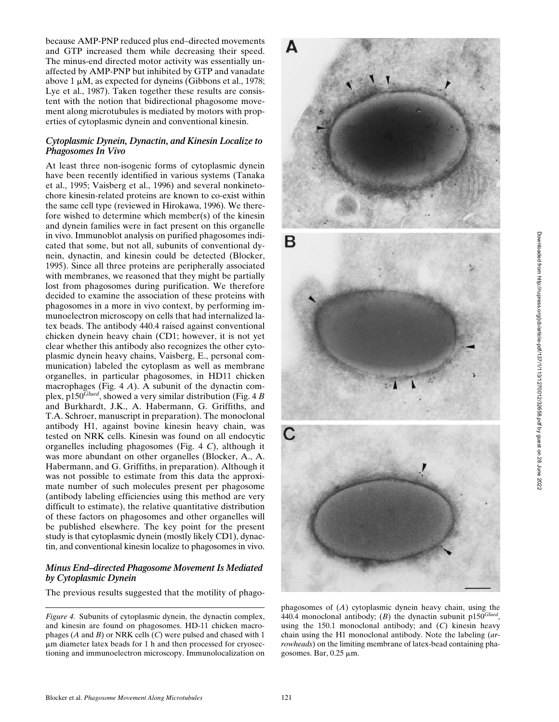because AMP-PNP reduced plus end–directed movements and GTP increased them while decreasing their speed. The minus-end directed motor activity was essentially unaffected by AMP-PNP but inhibited by GTP and vanadate above 1  $\mu$ M, as expected for dyneins (Gibbons et al., 1978; Lye et al., 1987). Taken together these results are consistent with the notion that bidirectional phagosome movement along microtubules is mediated by motors with properties of cytoplasmic dynein and conventional kinesin.

#### *Cytoplasmic Dynein, Dynactin, and Kinesin Localize to Phagosomes In Vivo*

At least three non-isogenic forms of cytoplasmic dynein have been recently identified in various systems (Tanaka et al., 1995; Vaisberg et al., 1996) and several nonkinetochore kinesin-related proteins are known to co-exist within the same cell type (reviewed in Hirokawa, 1996). We therefore wished to determine which member(s) of the kinesin and dynein families were in fact present on this organelle in vivo. Immunoblot analysis on purified phagosomes indicated that some, but not all, subunits of conventional dynein, dynactin, and kinesin could be detected (Blocker, 1995). Since all three proteins are peripherally associated with membranes, we reasoned that they might be partially lost from phagosomes during purification. We therefore decided to examine the association of these proteins with phagosomes in a more in vivo context, by performing immunoelectron microscopy on cells that had internalized latex beads. The antibody 440.4 raised against conventional chicken dynein heavy chain (CD1; however, it is not yet clear whether this antibody also recognizes the other cytoplasmic dynein heavy chains, Vaisberg, E., personal communication) labeled the cytoplasm as well as membrane organelles, in particular phagosomes, in HD11 chicken macrophages (Fig. 4 *A*). A subunit of the dynactin complex, p150*Glued*, showed a very similar distribution (Fig. 4 *B* and Burkhardt, J.K., A. Habermann, G. Griffiths, and T.A. Schroer, manuscript in preparation). The monoclonal antibody H1, against bovine kinesin heavy chain, was tested on NRK cells. Kinesin was found on all endocytic organelles including phagosomes (Fig. 4 *C*), although it was more abundant on other organelles (Blocker, A., A. Habermann, and G. Griffiths, in preparation). Although it was not possible to estimate from this data the approximate number of such molecules present per phagosome (antibody labeling efficiencies using this method are very difficult to estimate), the relative quantitative distribution of these factors on phagosomes and other organelles will be published elsewhere. The key point for the present study is that cytoplasmic dynein (mostly likely CD1), dynactin, and conventional kinesin localize to phagosomes in vivo.

## *Minus End–directed Phagosome Movement Is Mediated by Cytoplasmic Dynein*

The previous results suggested that the motility of phago-

*Figure 4.* Subunits of cytoplasmic dynein, the dynactin complex, and kinesin are found on phagosomes. HD-11 chicken macrophages (*A* and *B*) or NRK cells (*C*) were pulsed and chased with 1  $\mu$ m diameter latex beads for 1 h and then processed for cryosectioning and immunoelectron microscopy. Immunolocalization on



phagosomes of (*A*) cytoplasmic dynein heavy chain, using the 440.4 monoclonal antibody; (*B*) the dynactin subunit p150*Glued*, using the 150.1 monoclonal antibody; and (*C*) kinesin heavy chain using the H1 monoclonal antibody. Note the labeling (*arrowheads*) on the limiting membrane of latex-bead containing phagosomes. Bar,  $0.25 \mu m$ .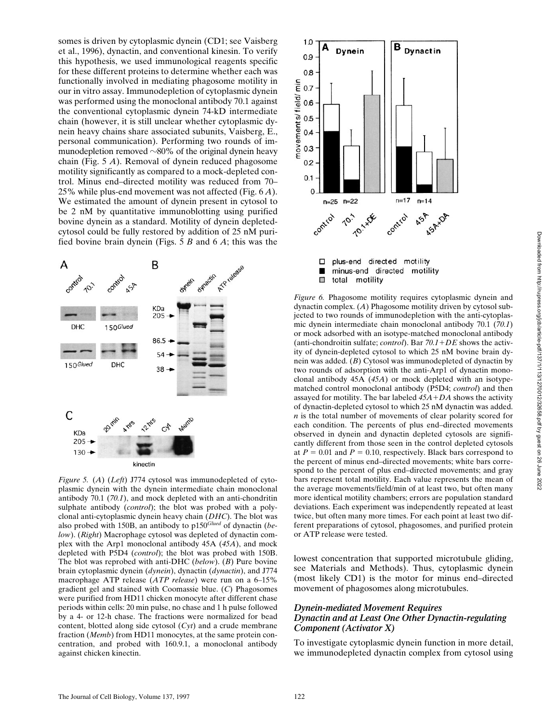somes is driven by cytoplasmic dynein (CD1; see Vaisberg et al., 1996), dynactin, and conventional kinesin. To verify this hypothesis, we used immunological reagents specific for these different proteins to determine whether each was functionally involved in mediating phagosome motility in our in vitro assay. Immunodepletion of cytoplasmic dynein was performed using the monoclonal antibody 70.1 against the conventional cytoplasmic dynein 74-kD intermediate chain (however, it is still unclear whether cytoplasmic dynein heavy chains share associated subunits, Vaisberg, E., personal communication). Performing two rounds of immunodepletion removed  $\sim 80\%$  of the original dynein heavy chain (Fig. 5 *A*). Removal of dynein reduced phagosome motility significantly as compared to a mock-depleted control. Minus end–directed motility was reduced from 70– 25% while plus-end movement was not affected (Fig. 6 *A*). We estimated the amount of dynein present in cytosol to be 2 nM by quantitative immunoblotting using purified bovine dynein as a standard. Motility of dynein depletedcytosol could be fully restored by addition of 25 nM purified bovine brain dynein (Figs. 5 *B* and 6 *A*; this was the



*Figure 5.* (*A*) (*Left*) J774 cytosol was immunodepleted of cytoplasmic dynein with the dynein intermediate chain monoclonal antibody 70.1 (*70.1*), and mock depleted with an anti-chondritin sulphate antibody (*control*); the blot was probed with a polyclonal anti-cytoplasmic dynein heavy chain (*DHC*). The blot was also probed with 150B, an antibody to p150*Glued* of dynactin (*below*). (*Right*) Macrophage cytosol was depleted of dynactin complex with the Arp1 monoclonal antibody 45A (*45A*), and mock depleted with P5D4 (*control*); the blot was probed with 150B. The blot was reprobed with anti-DHC (*below*). (*B*) Pure bovine brain cytoplasmic dynein (*dynein*), dynactin (*dynactin*), and J774 macrophage ATP release (*ATP release*) were run on a 6–15% gradient gel and stained with Coomassie blue. (*C*) Phagosomes were purified from HD11 chicken monocyte after different chase periods within cells: 20 min pulse, no chase and 1 h pulse followed by a 4- or 12-h chase. The fractions were normalized for bead content, blotted along side cytosol (*Cyt*) and a crude membrane fraction (*Memb*) from HD11 monocytes, at the same protein concentration, and probed with 160.9.1, a monoclonal antibody against chicken kinectin.



minus-end directed motility  $\blacksquare$  $\Box$ total motility

*Figure 6.* Phagosome motility requires cytoplasmic dynein and dynactin complex. (*A*) Phagosome motility driven by cytosol subjected to two rounds of immunodepletion with the anti-cytoplasmic dynein intermediate chain monoclonal antibody 70.1 (*70.1*) or mock adsorbed with an isotype-matched monoclonal antibody (anti-chondroitin sulfate; *control*). Bar  $70.1 + DE$  shows the activity of dynein-depleted cytosol to which 25 nM bovine brain dynein was added. (*B*) Cytosol was immunodepleted of dynactin by two rounds of adsorption with the anti-Arp1 of dynactin monoclonal antibody 45A (*45A*) or mock depleted with an isotypematched control monoclonal antibody (P5D4; *control*) and then assayed for motility. The bar labeled  $45A+DA$  shows the activity of dynactin-depleted cytosol to which 25 nM dynactin was added. *n* is the total number of movements of clear polarity scored for each condition. The percents of plus end–directed movements observed in dynein and dynactin depleted cytosols are significantly different from those seen in the control depleted cytosols at  $P = 0.01$  and  $P = 0.10$ , respectively. Black bars correspond to the percent of minus end–directed movements; white bars correspond to the percent of plus end–directed movements; and gray bars represent total motility. Each value represents the mean of the average movements/field/min of at least two, but often many more identical motility chambers; errors are population standard deviations. Each experiment was independently repeated at least twice, but often many more times. For each point at least two different preparations of cytosol, phagosomes, and purified protein or ATP release were tested.

lowest concentration that supported microtubule gliding, see Materials and Methods). Thus, cytoplasmic dynein (most likely CD1) is the motor for minus end–directed movement of phagosomes along microtubules.

#### *Dynein-mediated Movement Requires Dynactin and at Least One Other Dynactin-regulating Component (Activator X)*

To investigate cytoplasmic dynein function in more detail, we immunodepleted dynactin complex from cytosol using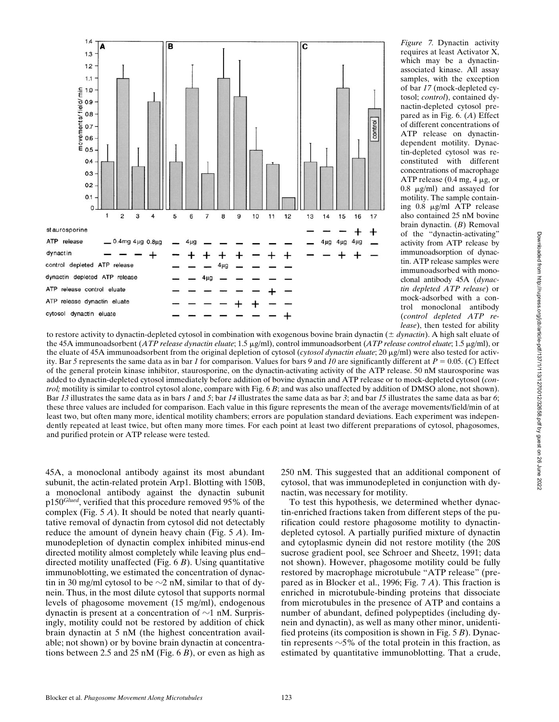

*Figure 7.* Dynactin activity requires at least Activator X, which may be a dynactinassociated kinase. All assay samples, with the exception of bar *17* (mock-depleted cytosol; *control*), contained dynactin-depleted cytosol prepared as in Fig. 6. (*A*) Effect of different concentrations of ATP release on dynactindependent motility. Dynactin-depleted cytosol was reconstituted with different concentrations of macrophage ATP release  $(0.4 \text{ mg}, 4 \mu \text{g}, \text{or})$ 0.8 mg/ml) and assayed for motility. The sample containing 0.8 mg/ml ATP release also contained 25 nM bovine brain dynactin. (*B*) Removal of the "dynactin-activating" activity from ATP release by immunoadsorption of dynactin. ATP release samples were immunoadsorbed with monoclonal antibody 45A (*dynactin depleted ATP release*) or mock-adsorbed with a control monoclonal antibody (*control depleted ATP release*), then tested for ability

to restore activity to dynactin-depleted cytosol in combination with exogenous bovine brain dynactin  $(\pm dynactin)$ . A high salt eluate of the 45A immunoadsorbent (*ATP release dynactin eluate*; 1.5 μg/ml), control immunoadsorbent (*ATP release control eluate*; 1.5 μg/ml), or the eluate of 45A immunoadsorbent from the original depletion of cytosol (*cytosol dynactin eluate*; 20 μg/ml) were also tested for activity. Bar 5 represents the same data as in bar *1* for comparison. Values for bars 9 and 10 are significantly different at  $P = 0.05$ . (C) Effect of the general protein kinase inhibitor, staurosporine, on the dynactin-activating activity of the ATP release. 50 nM staurosporine was added to dynactin-depleted cytosol immediately before addition of bovine dynactin and ATP release or to mock-depleted cytosol (*control;* motility is similar to control cytosol alone, compare with Fig. 6 *B*; and was also unaffected by addition of DMSO alone, not shown). Bar *13* illustrates the same data as in bars *1* and *5*; bar *14* illustrates the same data as bar *3*; and bar *15* illustrates the same data as bar *6*; these three values are included for comparison. Each value in this figure represents the mean of the average movements/field/min of at least two, but often many more, identical motility chambers; errors are population standard deviations. Each experiment was independently repeated at least twice, but often many more times. For each point at least two different preparations of cytosol, phagosomes, and purified protein or ATP release were tested.

45A, a monoclonal antibody against its most abundant subunit, the actin-related protein Arp1. Blotting with 150B, a monoclonal antibody against the dynactin subunit p150*Glued*, verified that this procedure removed 95% of the complex (Fig. 5 *A*). It should be noted that nearly quantitative removal of dynactin from cytosol did not detectably reduce the amount of dynein heavy chain (Fig. 5 *A*). Immunodepletion of dynactin complex inhibited minus-end directed motility almost completely while leaving plus end– directed motility unaffected (Fig. 6 *B*). Using quantitative immunoblotting, we estimated the concentration of dynactin in 30 mg/ml cytosol to be  $\sim$ 2 nM, similar to that of dynein. Thus, in the most dilute cytosol that supports normal levels of phagosome movement (15 mg/ml), endogenous dynactin is present at a concentration of  $\sim$ 1 nM. Surprisingly, motility could not be restored by addition of chick brain dynactin at 5 nM (the highest concentration available; not shown) or by bovine brain dynactin at concentrations between 2.5 and 25 nM (Fig. 6 *B*), or even as high as 250 nM. This suggested that an additional component of cytosol, that was immunodepleted in conjunction with dynactin, was necessary for motility.

To test this hypothesis, we determined whether dynactin-enriched fractions taken from different steps of the purification could restore phagosome motility to dynactindepleted cytosol. A partially purified mixture of dynactin and cytoplasmic dynein did not restore motility (the 20S sucrose gradient pool, see Schroer and Sheetz, 1991; data not shown). However, phagosome motility could be fully restored by macrophage microtubule "ATP release" (prepared as in Blocker et al., 1996; Fig. 7 *A*). This fraction is enriched in microtubule-binding proteins that dissociate from microtubules in the presence of ATP and contains a number of abundant, defined polypeptides (including dynein and dynactin), as well as many other minor, unidentified proteins (its composition is shown in Fig. 5 *B*). Dynactin represents  $\sim$ 5% of the total protein in this fraction, as estimated by quantitative immunoblotting. That a crude,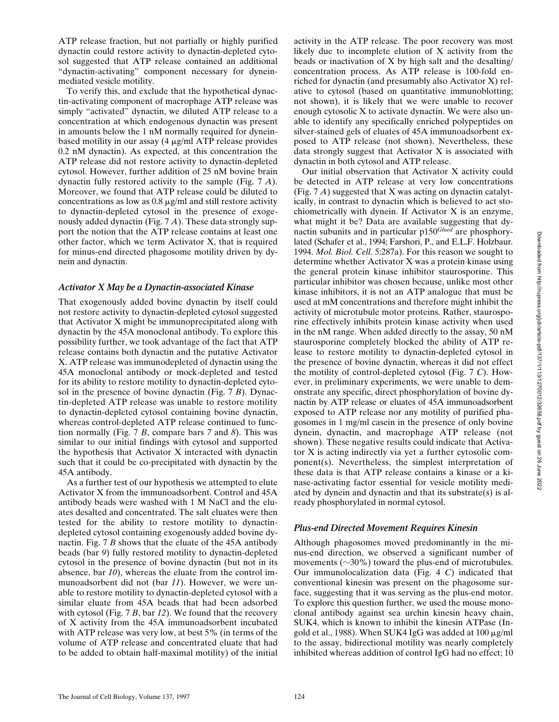ATP release fraction, but not partially or highly purified dynactin could restore activity to dynactin-depleted cytosol suggested that ATP release contained an additional "dynactin-activating" component necessary for dyneinmediated vesicle motility.

To verify this, and exclude that the hypothetical dynactin-activating component of macrophage ATP release was simply "activated" dynactin, we diluted ATP release to a concentration at which endogenous dynactin was present in amounts below the 1 nM normally required for dyneinbased motility in our assay  $(4 \mu g/ml$  ATP release provides 0.2 nM dynactin). As expected, at this concentration the ATP release did not restore activity to dynactin-depleted cytosol. However, further addition of 25 nM bovine brain dynactin fully restored activity to the sample (Fig. 7 *A*). Moreover, we found that ATP release could be diluted to concentrations as low as  $0.8 \mu g/ml$  and still restore activity to dynactin-depleted cytosol in the presence of exogenously added dynactin (Fig. 7 *A*). These data strongly support the notion that the ATP release contains at least one other factor, which we term Activator X, that is required for minus-end directed phagosome motility driven by dynein and dynactin.

#### *Activator X May be a Dynactin-associated Kinase*

That exogenously added bovine dynactin by itself could not restore activity to dynactin-depleted cytosol suggested that Activator X might be immunoprecipitated along with dynactin by the 45A monoclonal antibody. To explore this possibility further, we took advantage of the fact that ATP release contains both dynactin and the putative Activator X. ATP release was immunodepleted of dynactin using the 45A monoclonal antibody or mock-depleted and tested for its ability to restore motility to dynactin-depleted cytosol in the presence of bovine dynactin (Fig. 7 *B*). Dynactin-depleted ATP release was unable to restore motility to dynactin-depleted cytosol containing bovine dynactin, whereas control-depleted ATP release continued to function normally (Fig. 7 *B*, compare bars *7* and *8*). This was similar to our initial findings with cytosol and supported the hypothesis that Activator X interacted with dynactin such that it could be co-precipitated with dynactin by the 45A antibody.

As a further test of our hypothesis we attempted to elute Activator X from the immunoadsorbent. Control and 45A antibody beads were washed with 1 M NaCl and the eluates desalted and concentrated. The salt eluates were then tested for the ability to restore motility to dynactindepleted cytosol containing exogenously added bovine dynactin. Fig. 7 *B* shows that the eluate of the 45A antibody beads (bar *9*) fully restored motility to dynactin-depleted cytosol in the presence of bovine dynactin (but not in its absence, bar *10*), whereas the eluate from the control immunoadsorbent did not (bar *11*). However, we were unable to restore motility to dynactin-depleted cytosol with a similar eluate from 45A beads that had been adsorbed with cytosol (Fig. 7 *B*, bar *12*). We found that the recovery of X activity from the 45A immunoadsorbent incubated with ATP release was very low, at best 5% (in terms of the volume of ATP release and concentrated eluate that had to be added to obtain half-maximal motility) of the initial activity in the ATP release. The poor recovery was most likely due to incomplete elution of X activity from the beads or inactivation of X by high salt and the desalting/ concentration process. As ATP release is 100-fold enriched for dynactin (and presumably also Activator X) relative to cytosol (based on quantitative immunoblotting; not shown), it is likely that we were unable to recover enough cytosolic X to activate dynactin. We were also unable to identify any specifically enriched polypeptides on silver-stained gels of eluates of 45A immunoadsorbent exposed to ATP release (not shown). Nevertheless, these data strongly suggest that Activator X is associated with dynactin in both cytosol and ATP release.

Our initial observation that Activator X activity could be detected in ATP release at very low concentrations (Fig. 7 *A*) suggested that X was acting on dynactin catalytically, in contrast to dynactin which is believed to act stochiometrically with dynein. If Activator X is an enzyme, what might it be? Data are available suggesting that dynactin subunits and in particular p150*Glued* are phosphorylated (Schafer et al., 1994; Farshori, P., and E.L.F. Holzbaur. 1994. *Mol. Biol. Cell.* 5:287a). For this reason we sought to determine whether Activator X was a protein kinase using the general protein kinase inhibitor staurosporine. This particular inhibitor was chosen because, unlike most other kinase inhibitors, it is not an ATP analogue that must be used at mM concentrations and therefore might inhibit the activity of microtubule motor proteins. Rather, staurosporine effectively inhibits protein kinase activity when used in the nM range. When added directly to the assay, 50 nM staurosporine completely blocked the ability of ATP release to restore motility to dynactin-depleted cytosol in the presence of bovine dynactin, whereas it did not effect the motility of control-depleted cytosol (Fig. 7 *C*). However, in preliminary experiments, we were unable to demonstrate any specific, direct phosphorylation of bovine dynactin by ATP release or eluates of 45A immunoadsorbent exposed to ATP release nor any motility of purified phagosomes in 1 mg/ml casein in the presence of only bovine dynein, dynactin, and macrophage ATP release (not shown). These negative results could indicate that Activator X is acting indirectly via yet a further cytosolic component(s). Nevertheless, the simplest interpretation of these data is that ATP release contains a kinase or a kinase-activating factor essential for vesicle motility mediated by dynein and dynactin and that its substrate(s) is already phosphorylated in normal cytosol.

## *Plus-end Directed Movement Requires Kinesin*

Although phagosomes moved predominantly in the minus-end direction, we observed a significant number of movements ( $\sim$ 30%) toward the plus-end of microtubules. Our immunolocalization data (Fig. 4 *C*) indicated that conventional kinesin was present on the phagosome surface, suggesting that it was serving as the plus-end motor. To explore this question further, we used the mouse monoclonal antibody against sea urchin kinesin heavy chain, SUK4, which is known to inhibit the kinesin ATPase (Ingold et al., 1988). When SUK4 IgG was added at  $100 \mu g/ml$ to the assay, bidirectional motility was nearly completely inhibited whereas addition of control IgG had no effect; 10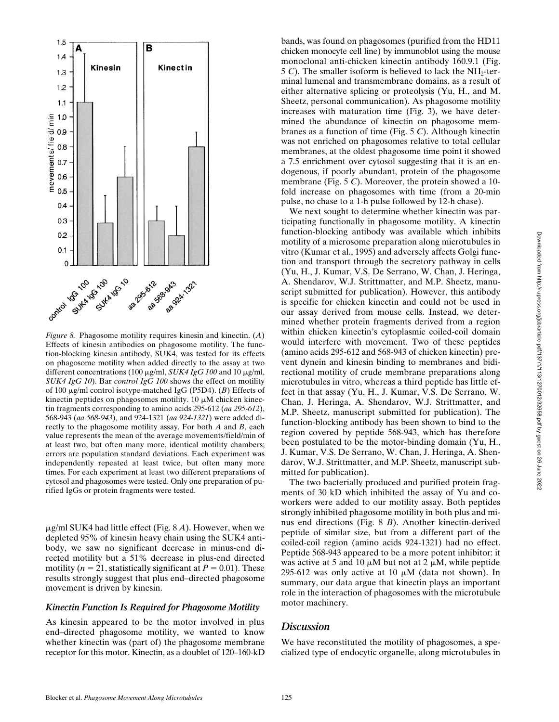

*Figure 8.* Phagosome motility requires kinesin and kinectin. (*A*) Effects of kinesin antibodies on phagosome motility. The function-blocking kinesin antibody, SUK4, was tested for its effects on phagosome motility when added directly to the assay at two different concentrations (100  $\mu$ g/ml, *SUK4 IgG 100* and 10  $\mu$ g/ml, *SUK4 IgG 10*). Bar *control IgG 100* shows the effect on motility of 100 mg/ml control isotype-matched IgG (P5D4). (*B*) Effects of kinectin peptides on phagosomes motility.  $10 \mu M$  chicken kinectin fragments corresponding to amino acids 295-612 (*aa 295-612*), 568-943 (*aa 568-943*), and 924-1321 (*aa 924-1321*) were added directly to the phagosome motility assay. For both *A* and *B*, each value represents the mean of the average movements/field/min of at least two, but often many more, identical motility chambers; errors are population standard deviations. Each experiment was independently repeated at least twice, but often many more times. For each experiment at least two different preparations of cytosol and phagosomes were tested. Only one preparation of purified IgGs or protein fragments were tested.

mg/ml SUK4 had little effect (Fig. 8 *A*). However, when we depleted 95% of kinesin heavy chain using the SUK4 antibody, we saw no significant decrease in minus-end directed motility but a 51% decrease in plus-end directed motility ( $n = 21$ , statistically significant at  $P = 0.01$ ). These results strongly suggest that plus end–directed phagosome movement is driven by kinesin.

## *Kinectin Function Is Required for Phagosome Motility*

As kinesin appeared to be the motor involved in plus end–directed phagosome motility, we wanted to know whether kinectin was (part of) the phagosome membrane receptor for this motor. Kinectin, as a doublet of 120–160-kD

bands, was found on phagosomes (purified from the HD11 chicken monocyte cell line) by immunoblot using the mouse monoclonal anti-chicken kinectin antibody 160.9.1 (Fig.  $5$  C). The smaller isoform is believed to lack the NH<sub>2</sub>-terminal lumenal and transmembrane domains, as a result of either alternative splicing or proteolysis (Yu, H., and M. Sheetz, personal communication). As phagosome motility increases with maturation time (Fig. 3), we have determined the abundance of kinectin on phagosome membranes as a function of time (Fig. 5 *C*). Although kinectin was not enriched on phagosomes relative to total cellular membranes, at the oldest phagosome time point it showed a 7.5 enrichment over cytosol suggesting that it is an endogenous, if poorly abundant, protein of the phagosome membrane (Fig. 5 *C*). Moreover, the protein showed a 10 fold increase on phagosomes with time (from a 20-min pulse, no chase to a 1-h pulse followed by 12-h chase).

We next sought to determine whether kinectin was participating functionally in phagosome motility. A kinectin function-blocking antibody was available which inhibits motility of a microsome preparation along microtubules in vitro (Kumar et al., 1995) and adversely affects Golgi function and transport through the secretory pathway in cells (Yu, H., J. Kumar, V.S. De Serrano, W. Chan, J. Heringa, A. Shendarov, W.J. Strittmatter, and M.P. Sheetz, manuscript submitted for publication). However, this antibody is specific for chicken kinectin and could not be used in our assay derived from mouse cells. Instead, we determined whether protein fragments derived from a region within chicken kinectin's cytoplasmic coiled-coil domain would interfere with movement. Two of these peptides (amino acids 295-612 and 568-943 of chicken kinectin) prevent dynein and kinesin binding to membranes and bidirectional motility of crude membrane preparations along microtubules in vitro, whereas a third peptide has little effect in that assay (Yu, H., J. Kumar, V.S. De Serrano, W. Chan, J. Heringa, A. Shendarov, W.J. Strittmatter, and M.P. Sheetz, manuscript submitted for publication). The function-blocking antibody has been shown to bind to the region covered by peptide 568-943, which has therefore been postulated to be the motor-binding domain (Yu, H., J. Kumar, V.S. De Serrano, W. Chan, J. Heringa, A. Shendarov, W.J. Strittmatter, and M.P. Sheetz, manuscript submitted for publication).

The two bacterially produced and purified protein fragments of 30 kD which inhibited the assay of Yu and coworkers were added to our motility assay. Both peptides strongly inhibited phagosome motility in both plus and minus end directions (Fig. 8 *B*). Another kinectin-derived peptide of similar size, but from a different part of the coiled-coil region (amino acids 924-1321) had no effect. Peptide 568-943 appeared to be a more potent inhibitor: it was active at 5 and 10  $\mu$ M but not at 2  $\mu$ M, while peptide 295-612 was only active at 10  $\mu$ M (data not shown). In summary, our data argue that kinectin plays an important role in the interaction of phagosomes with the microtubule motor machinery.

# *Discussion*

We have reconstituted the motility of phagosomes, a specialized type of endocytic organelle, along microtubules in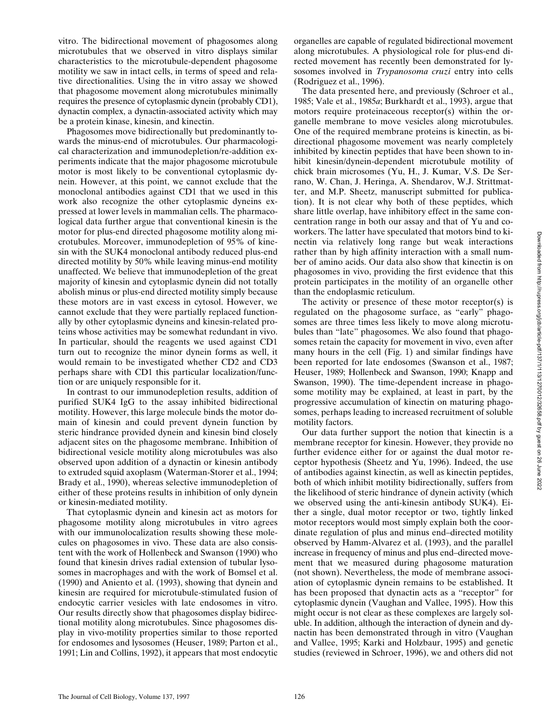vitro. The bidirectional movement of phagosomes along microtubules that we observed in vitro displays similar characteristics to the microtubule-dependent phagosome motility we saw in intact cells, in terms of speed and relative directionalities. Using the in vitro assay we showed that phagosome movement along microtubules minimally requires the presence of cytoplasmic dynein (probably CD1), dynactin complex, a dynactin-associated activity which may be a protein kinase, kinesin, and kinectin.

Phagosomes move bidirectionally but predominantly towards the minus-end of microtubules. Our pharmacological characterization and immunodepletion/re-addition experiments indicate that the major phagosome microtubule motor is most likely to be conventional cytoplasmic dynein. However, at this point, we cannot exclude that the monoclonal antibodies against CD1 that we used in this work also recognize the other cytoplasmic dyneins expressed at lower levels in mammalian cells. The pharmacological data further argue that conventional kinesin is the motor for plus-end directed phagosome motility along microtubules. Moreover, immunodepletion of 95% of kinesin with the SUK4 monoclonal antibody reduced plus-end directed motility by 50% while leaving minus-end motility unaffected. We believe that immunodepletion of the great majority of kinesin and cytoplasmic dynein did not totally abolish minus or plus-end directed motility simply because these motors are in vast excess in cytosol. However, we cannot exclude that they were partially replaced functionally by other cytoplasmic dyneins and kinesin-related proteins whose activities may be somewhat redundant in vivo. In particular, should the reagents we used against CD1 turn out to recognize the minor dynein forms as well, it would remain to be investigated whether CD2 and CD3 perhaps share with CD1 this particular localization/function or are uniquely responsible for it.

In contrast to our immunodepletion results, addition of purified SUK4 IgG to the assay inhibited bidirectional motility. However, this large molecule binds the motor domain of kinesin and could prevent dynein function by steric hindrance provided dynein and kinesin bind closely adjacent sites on the phagosome membrane. Inhibition of bidirectional vesicle motility along microtubules was also observed upon addition of a dynactin or kinesin antibody to extruded squid axoplasm (Waterman-Storer et al., 1994; Brady et al., 1990), whereas selective immunodepletion of either of these proteins results in inhibition of only dynein or kinesin-mediated motility.

That cytoplasmic dynein and kinesin act as motors for phagosome motility along microtubules in vitro agrees with our immunolocalization results showing these molecules on phagosomes in vivo. These data are also consistent with the work of Hollenbeck and Swanson (1990) who found that kinesin drives radial extension of tubular lysosomes in macrophages and with the work of Bomsel et al. (1990) and Aniento et al. (1993), showing that dynein and kinesin are required for microtubule-stimulated fusion of endocytic carrier vesicles with late endosomes in vitro. Our results directly show that phagosomes display bidirectional motility along microtubules. Since phagosomes display in vivo-motility properties similar to those reported for endosomes and lysosomes (Heuser, 1989; Parton et al., 1991; Lin and Collins, 1992), it appears that most endocytic

organelles are capable of regulated bidirectional movement along microtubules. A physiological role for plus-end directed movement has recently been demonstrated for lysosomes involved in *Trypanosoma cruzi* entry into cells (Rodriguez et al., 1996).

The data presented here, and previously (Schroer et al., 1985; Vale et al., 1985*a*; Burkhardt et al., 1993), argue that motors require proteinaceous receptor(s) within the organelle membrane to move vesicles along microtubules. One of the required membrane proteins is kinectin, as bidirectional phagosome movement was nearly completely inhibited by kinectin peptides that have been shown to inhibit kinesin/dynein-dependent microtubule motility of chick brain microsomes (Yu, H., J. Kumar, V.S. De Serrano, W. Chan, J. Heringa, A. Shendarov, W.J. Strittmatter, and M.P. Sheetz, manuscript submitted for publication). It is not clear why both of these peptides, which share little overlap, have inhibitory effect in the same concentration range in both our assay and that of Yu and coworkers. The latter have speculated that motors bind to kinectin via relatively long range but weak interactions rather than by high affinity interaction with a small number of amino acids. Our data also show that kinectin is on phagosomes in vivo, providing the first evidence that this protein participates in the motility of an organelle other than the endoplasmic reticulum.

The activity or presence of these motor receptor(s) is regulated on the phagosome surface, as "early" phagosomes are three times less likely to move along microtubules than "late" phagosomes. We also found that phagosomes retain the capacity for movement in vivo, even after many hours in the cell (Fig. 1) and similar findings have been reported for late endosomes (Swanson et al., 1987; Heuser, 1989; Hollenbeck and Swanson, 1990; Knapp and Swanson, 1990). The time-dependent increase in phagosome motility may be explained, at least in part, by the progressive accumulation of kinectin on maturing phagosomes, perhaps leading to increased recruitment of soluble motility factors.

Our data further support the notion that kinectin is a membrane receptor for kinesin. However, they provide no further evidence either for or against the dual motor receptor hypothesis (Sheetz and Yu, 1996). Indeed, the use of antibodies against kinectin, as well as kinectin peptides, both of which inhibit motility bidirectionally, suffers from the likelihood of steric hindrance of dynein activity (which we observed using the anti-kinesin antibody SUK4). Either a single, dual motor receptor or two, tightly linked motor receptors would most simply explain both the coordinate regulation of plus and minus end–directed motility observed by Hamm-Alvarez et al. (1993), and the parallel increase in frequency of minus and plus end–directed movement that we measured during phagosome maturation (not shown). Nevertheless, the mode of membrane association of cytoplasmic dynein remains to be established. It has been proposed that dynactin acts as a "receptor" for cytoplasmic dynein (Vaughan and Vallee, 1995). How this might occur is not clear as these complexes are largely soluble. In addition, although the interaction of dynein and dynactin has been demonstrated through in vitro (Vaughan and Vallee, 1995; Karki and Holzbaur, 1995) and genetic studies (reviewed in Schroer, 1996), we and others did not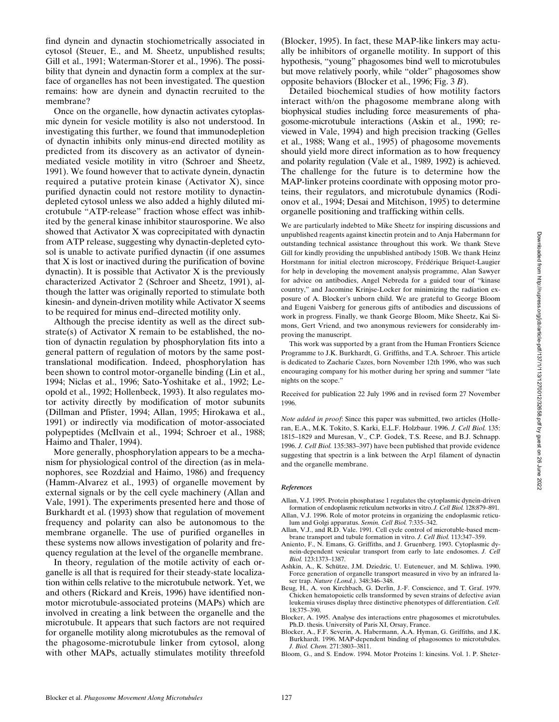find dynein and dynactin stochiometrically associated in cytosol (Steuer, E., and M. Sheetz, unpublished results; Gill et al., 1991; Waterman-Storer et al., 1996). The possibility that dynein and dynactin form a complex at the surface of organelles has not been investigated. The question remains: how are dynein and dynactin recruited to the membrane?

Once on the organelle, how dynactin activates cytoplasmic dynein for vesicle motility is also not understood. In investigating this further, we found that immunodepletion of dynactin inhibits only minus-end directed motility as predicted from its discovery as an activator of dyneinmediated vesicle motility in vitro (Schroer and Sheetz, 1991). We found however that to activate dynein, dynactin required a putative protein kinase (Activator X), since purified dynactin could not restore motility to dynactindepleted cytosol unless we also added a highly diluted microtubule "ATP-release" fraction whose effect was inhibited by the general kinase inhibitor staurosporine. We also showed that Activator X was coprecipitated with dynactin from ATP release, suggesting why dynactin-depleted cytosol is unable to activate purified dynactin (if one assumes that X is lost or inactived during the purification of bovine dynactin). It is possible that Activator X is the previously characterized Activator 2 (Schroer and Sheetz, 1991), although the latter was originally reported to stimulate both kinesin- and dynein-driven motility while Activator X seems to be required for minus end–directed motility only.

Although the precise identity as well as the direct substrate(s) of Activator X remain to be established, the notion of dynactin regulation by phosphorylation fits into a general pattern of regulation of motors by the same posttranslational modification. Indeed, phosphorylation has been shown to control motor-organelle binding (Lin et al., 1994; Niclas et al., 1996; Sato-Yoshitake et al., 1992; Leopold et al., 1992; Hollenbeck, 1993). It also regulates motor activity directly by modification of motor subunits (Dillman and Pfister, 1994; Allan, 1995; Hirokawa et al., 1991) or indirectly via modification of motor-associated polypeptides (McIlvain et al., 1994; Schroer et al., 1988; Haimo and Thaler, 1994).

More generally, phosphorylation appears to be a mechanism for physiological control of the direction (as in melanophores, see Rozdzial and Haimo, 1986) and frequency (Hamm-Alvarez et al., 1993) of organelle movement by external signals or by the cell cycle machinery (Allan and Vale, 1991). The experiments presented here and those of Burkhardt et al. (1993) show that regulation of movement frequency and polarity can also be autonomous to the membrane organelle. The use of purified organelles in these systems now allows investigation of polarity and frequency regulation at the level of the organelle membrane.

In theory, regulation of the motile activity of each organelle is all that is required for their steady-state localization within cells relative to the microtubule network. Yet, we and others (Rickard and Kreis, 1996) have identified nonmotor microtubule-associated proteins (MAPs) which are involved in creating a link between the organelle and the microtubule. It appears that such factors are not required for organelle motility along microtubules as the removal of the phagosome-microtubule linker from cytosol, along with other MAPs, actually stimulates motility threefold

(Blocker, 1995). In fact, these MAP-like linkers may actually be inhibitors of organelle motility. In support of this hypothesis, "young" phagosomes bind well to microtubules but move relatively poorly, while "older" phagosomes show opposite behaviors (Blocker et al., 1996; Fig. 3 *B*).

Detailed biochemical studies of how motility factors interact with/on the phagosome membrane along with biophysical studies including force measurements of phagosome-microtubule interactions (Askin et al., 1990; reviewed in Vale, 1994) and high precision tracking (Gelles et al., 1988; Wang et al., 1995) of phagosome movements should yield more direct information as to how frequency and polarity regulation (Vale et al., 1989, 1992) is achieved. The challenge for the future is to determine how the MAP-linker proteins coordinate with opposing motor proteins, their regulators, and microtubule dynamics (Rodionov et al., 1994; Desai and Mitchison, 1995) to determine organelle positioning and trafficking within cells.

We are particularly indebted to Mike Sheetz for inspiring discussions and unpublished reagents against kinectin protein and to Anja Habermann for outstanding technical assistance throughout this work. We thank Steve Gill for kindly providing the unpublished antibody 150B. We thank Heinz Horstmann for initial electron microscopy, Frédérique Briquet-Laugier for help in developing the movement analysis programme, Alan Sawyer for advice on antibodies, Angel Nebreda for a guided tour of "kinase country," and Jacomine Krinjse-Locker for minimizing the radiation exposure of A. Blocker's unborn child. We are grateful to George Bloom and Eugeni Vaisberg for generous gifts of antibodies and discussions of work in progress. Finally, we thank George Bloom, Mike Sheetz, Kai Simons, Gert Vriend, and two anonymous reviewers for considerably improving the manuscript.

This work was supported by a grant from the Human Frontiers Science Programme to J.K. Burkhardt, G. Griffiths, and T.A. Schroer. This article is dedicated to Zacharie Cazes, born November 12th 1996, who was such encouraging company for his mother during her spring and summer "late nights on the scope.'

Received for publication 22 July 1996 and in revised form 27 November 1996.

*Note added in proof*: Since this paper was submitted, two articles (Holleran, E.A., M.K. Tokito, S. Karki, E.L.F. Holzbaur. 1996. *J. Cell Biol.* 135: 1815–1829 and Muresan, V., C.P. Godek, T.S. Reese, and B.J. Schnapp. 1996. *J. Cell Biol.* 135:383–397) have been published that provide evidence suggesting that spectrin is a link between the Arp1 filament of dynactin and the organelle membrane.

#### *References*

- Allan, V.J. 1995. Protein phosphatase 1 regulates the cytoplasmic dynein-driven formation of endoplasmic reticulum networks in vitro. *J. Cell Biol.* 128:879–891.
- Allan, V.J. 1996. Role of motor proteins in organizing the endoplasmic reticulum and Golgi apparatus. *Semin. Cell Biol.* 7:335–342.
- Allan, V.J., and R.D. Vale. 1991. Cell cycle control of microtuble-based membrane transport and tubule formation in vitro. *J. Cell Biol.* 113:347–359.
- Aniento, F., N. Emans, G. Griffiths, and J. Gruenberg. 1993. Cytoplasmic dy-nein-dependent vesicular transport from early to late endosomes. *J. Cell Biol.* 123:1373–1387.
- Ashkin, A., K. Schütze, J.M. Dziedzic, U. Euteneuer, and M. Schliwa. 1990. Force generation of organelle transport measured in vivo by an infrared laser trap. *Nature (Lond.).* 348:346–348.
- Beug, H., A. von Kirchbach, G. Derlin, J.-F. Conscience, and T. Graf. 1979. Chicken hematopoietic cells transformed by seven strains of defective avian leukemia viruses display three distinctive phenotypes of differentiation. *Cell.* 18:375–390.
- Blocker, A. 1995. Analyse des interactions entre phagosomes et microtubules. Ph.D. thesis. University of Paris XI, Orsay, France.
- Blocker, A., F.F. Severin, A. Habermann, A.A. Hyman, G. Griffiths, and J.K. Burkhardt. 1996. MAP-dependent binding of phagosomes to microtubules. *J. Biol. Chem.* 271:3803–3811.
- Bloom, G., and S. Endow. 1994. Motor Proteins 1: kinesins. Vol. 1. P. Sheter-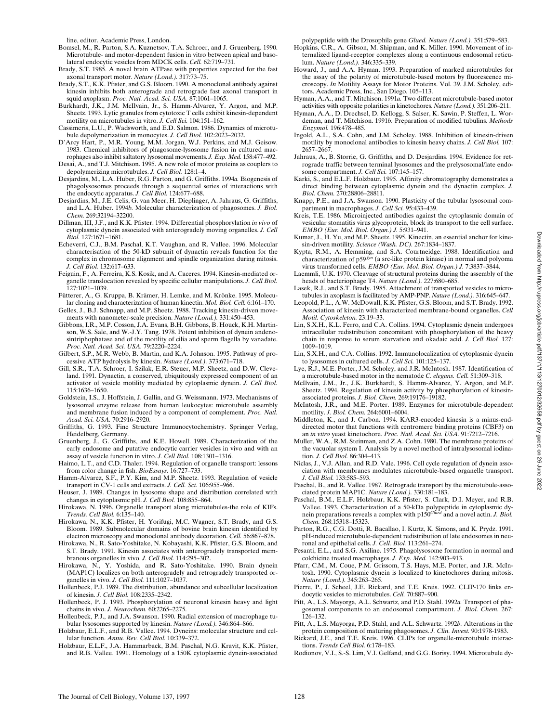- Bomsel, M., R. Parton, S.A. Kuznetsov, T.A. Schroer, and J. Gruenberg. 1990. Microtubule- and motor-dependent fusion in vitro between apical and basolateral endocytic vesicles from MDCK cells. *Cell.* 62:719–731.
- Brady, S.T. 1985. A novel brain ATPase with properties expected for the fast axonal transport motor. *Nature (Lond.).* 317:73–75.
- Brady, S.T., K.K. Pfister, and G.S. Bloom. 1990. A monoclonal antibody against kinesin inhibits both anterograde and retrograde fast axonal transport in squid axoplasm. *Proc. Natl. Acad. Sci. USA.* 87:1061–1065.
- Burkhardt, J.K., J.M. McIlvain, Jr., S. Hamm-Alvarez, Y. Argon, and M.P. Sheetz. 1993. Lytic granules from cytotoxic T cells exhibit kinesin-dependent motility on microtubules in vitro. *J. Cell Sci.* 104:151–162.
- Cassimeris, L.U., P. Wadsworth, and E.D. Salmon. 1986. Dynamics of microtubule depolymerization in monocytes. *J. Cell Biol.* 102:2023–2032.
- D'Arcy Hart, P., M.R. Young, M.M. Jorgan, W.J. Perkins, and M.J. Geisow. 1983. Chemical inhibitors of phagosome-lysosome fusion in cultured macrophages also inhibit saltatory lysosomal movements. *J. Exp. Med.* 158:477–492.
- Desai, A., and T.J. Mitchison. 1995. A new role of motor proteins as couplers to depolymerizing microtubules. *J. Cell Biol.* 128:1–4.
- Desjardins, M., L.A. Huber, R.G. Parton, and G. Griffiths. 1994*a.* Biogenesis of phagolysosomes proceeds through a sequential series of interactions with the endocytic apparatus. *J. Cell Biol.* 124:677–688.
- Desjardins, M., J.E. Celis, G. van Meer, H. Dieplinger, A. Jahraus, G. Griffiths, and L.A. Huber. 1994*b.* Molecular characterization of phagosomes. *J. Biol. Chem.* 269:32194–32200.
- Dillman, III, J.F., and K.K. Pfister. 1994. Differential phosphorylation *in vivo* of cytoplasmic dynein associated with anterogradely moving organelles. *J. Cell Biol.* 127:1671–1681.
- Echeverri, C.J., B.M. Paschal, K.T. Vaughan, and R. Vallee. 1996. Molecular characterisation of the 50-kD subunit of dynactin reveals function for the complex in chromosome alignment and spindle organization during mitosis. *J. Cell Biol.* 132:617–633.
- Feiguin, F., A. Ferreira, K.S. Kosik, and A. Caceres. 1994. Kinesin-mediated organelle translocation revealed by specific cellular manipulations. *J. Cell Biol.* 127:1021–1039.
- Fütterer, A., G. Kruppa, B. Krämer, H. Lemke, and M. Krönke. 1995. Molecular cloning and characterization of human kinectin. *Mol. Biol. Cell.* 6:161–170.
- Gelles, J., B.J. Schnapp, and M.P. Sheetz. 1988. Tracking kinesin-driven movements with nanometer-scale precision. *Nature (Lond.).* 331:450–453.
- Gibbons, I.R., M.P. Cosson, J.A. Evans, B.H. Gibbons, B. Houck, K.H. Martinson, W.S. Sale, and W.-J.Y. Tang. 1978. Potent inhibition of dynein andenosintriphophatase and of the motility of cilia and sperm flagella by vanadate. *Proc. Natl. Acad. Sci. USA.* 79:2220–2224.
- Gilbert, S.P., M.R. Webb, B. Martin, and K.A. Johnson. 1995. Pathway of processive ATP hydrolysis by kinesin. *Nature (Lond.).* 373:671–718.
- Gill, S.R., T.A. Schroer, I. Szilak, E.R. Steuer, M.P. Sheetz, and D.W. Cleveland. 1991. Dynactin, a conserved, ubiquitously expressed component of an activator of vesicle motility mediated by cytoplasmic dynein. *J. Cell Biol.* 115:1636–1650.
- Goldstein, I.S., J. Hoffstein, J. Gallin, and G. Weissmann. 1973. Mechanisms of lysosomal enzyme release from human leukocytes: microtubule assembly and membrane fusion induced by a component of complement. *Proc. Natl. Acad. Sci. USA.* 70:2916–2920.
- Griffiths, G. 1993. Fine Structure Immunocytochemistry. Springer Verlag, Heidelberg, Germany.
- Gruenberg, J., G. Griffiths, and K.E. Howell. 1989. Characterization of the early endosome and putative endocytic carrier vesicles in vivo and with an assay of vesicle function in vitro. *J. Cell Biol.* 108:1301–1316.
- Haimo, L.T., and C.D. Thaler. 1994. Regulation of organelle transport: lessons from color change in fish. *BioEssays.* 16:727–733.
- Hamm-Alvarez, S.F., P.Y. Kim, and M.P. Sheetz. 1993. Regulation of vesicle transport in CV-1 cells and extracts. *J. Cell. Sci.* 106:955–966.
- Heuser, J. 1989. Changes in lysosome shape and distribution correlated with changes in cytoplasmic pH. *J. Cell Biol.* 108:855–864.
- Hirokawa, N. 1996. Organelle transport along microtubules-the role of KIFs. *Trends. Cell Biol.* 6:135–140.
- Hirokawa, N., K.K. Pfister, H. Yorifugi, M.C. Wagner, S.T. Brady, and G.S. Bloom. 1989. Submolecular domains of bovine brain kinesin identified by electron microscopy and monoclonal antibody decoration. *Cell.* 56:867–878.
- Hirokawa, N., R. Sato-Yoshitake, N. Kobayashi, K.K. Pfister, G.S. Bloom, and S.T. Brady. 1991. Kinesin associates with anterogradely transported membranous organelles in vivo. *J. Cell Biol.* 114:295–302.
- Hirokawa, N., Y. Yoshida, and R. Sato-Yoshitake. 1990. Brain dynein (MAP1C) localizes on both anterogradely and retrogradely transported organelles in vivo. *J. Cell Biol.* 111:1027–1037.
- Hollenbeck, P.J. 1989. The distribution, abundance and subcellular localization of kinesin. *J. Cell Biol.* 108:2335–2342.
- Hollenbeck, P. J. 1993. Phosphorylation of neuronal kinesin heavy and light chains in vivo. *J. Neurochem.* 60:2265–2275.
- Hollenbeck, P.J., and J.A. Swanson. 1990. Radial extension of macrophage tubular lysosomes supported by kinesin. *Nature (Lond.).* 346:864–866.
- Holzbaur, E.L.F., and R.B. Vallee. 1994. Dyneins: molecular structure and cellular function. *Annu. Rev. Cell Biol.* 10:339–372.
- Holzbaur, E.L.F., J.A. Hammarback, B.M. Paschal, N.G. Kravit, K.K. Pfister, and R.B. Vallee. 1991. Homology of a 150K cytoplasmic dynein-associated

polypeptide with the Drosophila gene *Glued. Nature (Lond.).* 351:579–583.

- Hopkins, C.R., A. Gibson, M. Shipman, and K. Miller. 1990. Movement of internalized ligand-receptor complexes along a continuous endosomal reticulum. *Nature (Lond.).* 346:335–339.
- Howard, J., and A.A. Hyman. 1993. Preparation of marked microtubules for the assay of the polarity of microtubule-based motors by fluorescence microscopy. *In* Motility Assays for Motor Proteins. Vol. 39. J.M. Scholey, editors. Academic Press, Inc., San Diego. 105–113.
- Hyman, A.A., and T. Mitchison. 1991*a.* Two different microtubule-based motor activities with opposite polarities in kinetochores. *Nature (Lond.).* 351:206–211.
- Hyman, A.A., D. Drechsel, D. Kellogg, S. Salser, K. Sawin, P. Steffen, L. Wordeman, and T. Mitchison. 1991*b.* Preparation of modified tubulins. *Methods Enzymol.* 196:478–485.
- Ingold, A.L., S.A. Cohn, and J.M. Scholey. 1988. Inhibition of kinesin-driven motility by monoclonal antibodies to kinesin heavy chains. *J. Cell Biol.* 107: 2657–2667.
- Jahraus, A., B. Storrie, G. Griffiths, and D. Desjardins. 1994. Evidence for retrograde traffic between terminal lysosomes and the prelysosomal/late endosome compartment. *J. Cell Sci.* 107:145–157.
- Karki, S., and E.L.F. Holzbaur. 1995. Affinity chromatography demonstrates a direct binding between cytoplasmic dynein and the dynactin complex. *J. Biol. Chem.* 270:28806–28811.
- Knapp, P.E., and J.A. Swanson. 1990. Plasticity of the tubular lysosomal compartment in macrophages. *J. Cell Sci.* 95:433–439.
- Kreis, T.E. 1986. Microinjected antibodies against the cytoplasmic domain of vesicular stomatitis virus glycoprotein, block its transport to the cell surface. *EMBO (Eur. Mol. Biol. Organ.) J.* 5:931–941.
- Kumar, J., H. Yu, and M.P. Sheetz. 1995. Kinectin, an essential anchor for kinesin-driven motility. *Science (Wash. DC).* 267:1834–1837.
- Kypta, R.M., A. Hemming, and S.A. Courtneidge. 1988. Identification and characterization of p59 *fyn* (a src-like protein kinase) in normal and polyoma virus transformed cells. *EMBO (Eur. Mol. Biol. Organ.) J.* 7:3837–3844.
- Laemmli, U.K. 1970. Cleavage of structural proteins during the assembly of the heads of bacteriophage T4. *Nature (Lond.).* 227:680–685.
- Lasek, R.J., and S.T. Brady. 1985. Attachment of transported vesicles to microtubules in axoplasm is facilitated by AMP-PNP. *Nature (Lond.).* 316:645–647.
- Leopold, P.L., A.W. McDowall, K.K. Pfister, G.S. Bloom, and S.T. Brady. 1992. Association of kinesin with characterized membrane-bound organelles. *Cell Motil. Cytoskeleton.* 23:19–33.
- Lin, S.X.H., K.L. Ferro, and C.A. Collins. 1994. Cytoplasmic dynein undergoes intracellular redistribution concomitant with phosphorylation of the heavy chain in response to serum starvation and okadaic acid. *J. Cell Biol.* 127: 1009–1019.
- Lin, S.X.H., and C.A. Collins. 1992. Immunolocalization of cytoplasmic dynein to lysosomes in cultured cells. *J. Cell Sci.* 101:125–137.
- Lye, R.J., M.E. Porter, J.M. Scholey, and J.R. McIntosh. 1987. Identification of a microtubule-based motor in the nematode *C. elegans. Cell.* 51:309–318.
- McIlvain, J.M., Jr., J.K. Burkhardt, S. Hamm-Alvarez, Y. Argon, and M.P. Sheetz. 1994. Regulation of kinesin activity by phosphorylation of kinesinassociated proteins. *J. Biol. Chem.* 269:19176–19182.
- McIntosh, J.R., and M.E. Porter. 1989. Enzymes for microtubule-dependent motility. *J. Biol. Chem.* 264:6001–6004.
- Middleton, K., and J. Carbon. 1994. KAR3-encoded kinesin is a minus-enddirected motor that functions with centromere binding proteins (CBF3) on an *in vitro* yeast kinetochore. *Proc. Natl. Acad. Sci. USA.* 91:7212–7216.
- Muller, W.A., R.M. Steinman, and Z.A. Cohn. 1980. The membrane proteins of the vacuolar system I. Analysis by a novel method of intralysosomal iodination. *J. Cell Biol.* 86:304–413.
- Niclas, J., V.J. Allan, and R.D. Vale. 1996. Cell cycle regulation of dynein association with membranes modulates microtubule-based organelle transport. *J. Cell Biol.* 133:585–593.
- Paschal, B., and R. Vallee. 1987. Retrograde transport by the microtubule-associated protein MAP1C. *Nature (Lond.).* 330:181–183.
- Paschal, B.M., E.L.F. Holzbaur, K.K. Pfister, S. Clark, D.I. Meyer, and R.B. Vallee. 1993. Characterization of a 50-kDa polypeptide in cytoplasmic dy-nein preparations reveals a complex with p150*Glued* and a novel actin. *J. Biol. Chem.* 268:15318–15323.
- Parton, R.G., C.G. Dotti, R. Bacallao, I. Kurtz, K. Simons, and K. Prydz. 1991. pH-induced microtubule-dependent redistribution of late endosomes in neuronal and epithelial cells. *J. Cell. Biol.* 113:261–274.
- Pesanti, E.L., and S.G. Axiline. 1975. Phagolysosome formation in normal and colchicine treated macrophages. *J. Exp. Med.* 142:903–913.
- Pfarr, C.M., M. Coue, P.M. Grissom, T.S. Hays, M.E. Porter, and J.R. McIntosh. 1990. Cytoplasmic dynein is localized to kinetochores during mitosis. *Nature (Lond.).* 345:263–265.
- Pierre, P., J. Scheel, J.E. Rickard, and T.E. Kreis. 1992. CLIP-170 links endocytic vesicles to microtubules. *Cell.* 70:887–900.
- Pitt, A., L.S. Mayorga, A.L. Schwartz, and P.D. Stahl. 1992*a.* Transport of phagosomal components to an endosomal compartment. *J. Biol. Chem.* 267: 126–132.
- Pitt, A., L.S. Mayorga, P.D. Stahl, and A.L. Schwartz. 1992*b.* Alterations in the protein composition of maturing phagosomes. *J. Clin. Invest.* 90:1978-1983.
- Rickard, J.E., and T.E. Kreis. 1996. CLIPs for organelle-microtubule interactions. *Trends Cell Biol.* 6:178–183.
- Rodionov, V.I., S.-S. Lim, V.I. Gelfand, and G.G. Borisy. 1994. Microtubule dy-